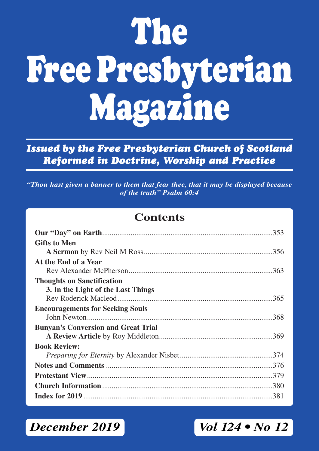# **The Free Presbyterian Magazine**

*Issued by the Free Presbyterian Church of Scotland Reformed in Doctrine, Worship and Practice*

*"Thou hast given a banner to them that fear thee, that it may be displayed because of the truth" Psalm 60:4*

### **Contents**

| <b>Gifts to Men</b>                        |
|--------------------------------------------|
|                                            |
| At the End of a Year                       |
|                                            |
| <b>Thoughts on Sanctification</b>          |
| 3. In the Light of the Last Things         |
|                                            |
| <b>Encouragements for Seeking Souls</b>    |
|                                            |
| <b>Bunyan's Conversion and Great Trial</b> |
|                                            |
| <b>Book Review:</b>                        |
|                                            |
|                                            |
|                                            |
|                                            |
|                                            |

*December 2019 Vol 124 • No 12*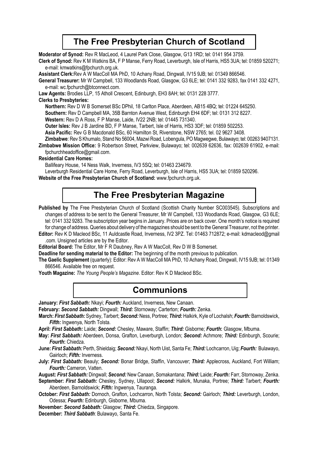### **The Free Presbyterian Church of Scotland**

**Moderator of Synod:** Rev R MacLeod, 4 Laurel Park Close, Glasgow, G13 1RD; tel: 0141 954 3759.

**Clerk of Synod:** Rev K M Watkins BA, F P Manse, Ferry Road, Leverburgh, Isle of Harris, HS5 3UA; tel: 01859 520271; e-mail: kmwatkins@fpchurch.org.uk.

**Assistant Clerk:**Rev A W MacColl MA PhD, 10 Achany Road, Dingwall, IV15 9JB; tel: 01349 866546.

**General Treasurer:** Mr W Campbell, 133 Woodlands Road, Glasgow, G3 6LE; tel: 0141 332 9283, fax 0141 332 4271, e-mail: wc.fpchurch@btconnect.com.

**Law Agents:** Brodies LLP, 15 Atholl Crescent, Edinburgh, EH3 8AH; tel: 0131 228 3777.

#### **Clerks to Presbyteries:**

**Northern:** Rev D W B Somerset BSc DPhil, 18 Carlton Place, Aberdeen, AB15 4BQ; tel: 01224 645250.

**Southern:** Rev D Campbell MA, 35B Barnton Avenue West, Edinburgh EH4 6DF; tel: 0131 312 8227.

**Western:** Rev D A Ross, F P Manse, Laide, IV22 2NB; tel: 01445 731340.

**Outer lsles:** Rev J B Jardine BD, F P Manse, Tarbert, Isle of Harris, HS3 3DF; tel: 01859 502253.

**Asia Pacific:** Rev G B Macdonald BSc, 60 Hamilton St, Riverstone, NSW 2765; tel. 02 9627 3408.

**Zimbabwe**: Rev S Khumalo, Stand No 56004, Mazwi Road, Lobengula, PO Magwegwe, Bulawayo; tel: 00263 9407131.

**Zimbabwe Mission Office:** 9 Robertson Street, Parkview, Bulawayo; tel: 002639 62636, fax: 002639 61902, e-mail: fpchurchheadoffice@gmail.com.

#### **Residential Care Homes:**

Ballifeary House, 14 Ness Walk, Inverness, IV3 5SQ; tel: 01463 234679.

Leverburgh Residential Care Home, Ferry Road, Leverburgh, Isle of Harris, HS5 3UA; tel: 01859 520296.

**Website of the Free Presbyterian Church of Scotland:** www.fpchurch.org.uk.

### **The Free Presbyterian Magazine**

Published by The Free Presbyterian Church of Scotland (Scottish Charity Number SC003545). Subscriptions and changes of address to be sent to the General Treasurer, Mr W Campbell, 133 Woodlands Road, Glasgow, G3 6LE; tel: 0141 332 9283. The subscription year begins in January. Prices are on back cover. One month's notice is required for change of address. Queries about delivery of the magazines should be sent to the General Treasurer, not the printer.

**Editor:** Rev K D Macleod BSc, 11 Auldcastle Road, Inverness, IV2 3PZ. Tel: 01463 712872; e-mail: kdmacleod@gmail .com. Unsigned articles are by the Editor.

**Editorial Board:** The Editor, Mr F R Daubney, Rev A W MacColl, Rev D W B Somerset.

**Deadline for sending material to the Editor:** The beginning of the month previous to publication.

**The Gaelic Supplement** (quarterly): Editor: Rev A W MacColl MA PhD, 10 Achany Road, Dingwall, IV15 9JB; tel: 01349 866546. Available free on request.

**Youth Magazine:** *The Young People's Magazine*. Editor: Rev K D Macleod BSc.

### **Communions**

**January:** *First Sabbath:* Nkayi; *Fourth:* Auckland, Inverness, New Canaan.

**February:** *Second Sabbath:* Dingwall; *Third:* Stornoway; Carterton; *Fourth:* Zenka.

**March:** *First Sabbath:* Sydney, Tarbert; *Second:* Ness, Portree; *Third:* Halkirk, Kyle of Lochalsh; *Fourth:* Barnoldswick, *Fifth:* Ingwenya, North Tolsta.

**April:** *First Sabbath:* Laide; *Second:* Chesley, Maware, Staffin; *Third:* Gisborne; *Fourth***:** Glasgow, Mbuma.

**May:** *First Sabbath:* Aberdeen, Donsa, Grafton, Leverburgh, London; *Second:* Achmore; *Third:* Edinburgh, Scourie; *Fourth***:** Chiedza.

**June:** *First Sabbath:* Perth, Shieldaig; *Second:* Nkayi, North Uist, Santa Fe; *Third:* Lochcarron, Uig; *Fourth:* Bulawayo, Gairloch; *Fifth:* Inverness.

**July:** *First Sabbath:* Beauly; *Second:* Bonar Bridge, Staffin, Vancouver; *Third:* Applecross, Auckland, Fort William; *Fourth:* Cameron, Vatten.

**August:** *First Sabbath:* Dingwall; *Second:* New Canaan, Somakantana; *Third:* Laide; *Fourth:* Farr, Stornoway, Zenka.

**September:** *First Sabbath:* Chesley, Sydney, Ullapool; *Second:* Halkirk, Munaka, Portree; *Third:* Tarbert; *Fourth:* Aberdeen, Barnoldswick; *Fifth:* Ingwenya, Tauranga.

**October:** *First Sabbath:* Dornoch, Grafton, Lochcarron, North Tolsta; *Second:* Gairloch; *Third:* Leverburgh, London, Odessa; *Fourth:* Edinburgh, Gisborne, Mbuma.

**November:** *Second Sabbath:* Glasgow; *Third:* Chiedza, Singapore.

**December:** *Third Sabbath*: Bulawayo, Santa Fe.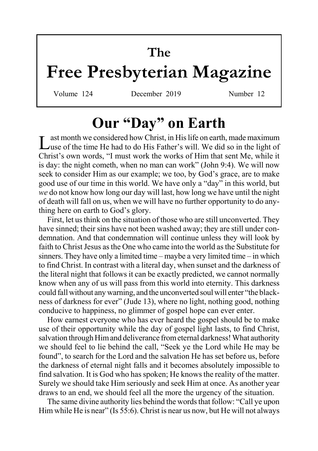# **The**

# **Free Presbyterian Magazine**

Volume 124 December 2019 Number 12

# **Our "Day" on Earth**

Last month we considered how Christ, in His life on earth, made maximum<br>Luse of the time He had to do His Father's will. We did so in the light of Christ's own words, "I must work the works of Him that sent Me, while it is day: the night cometh, when no man can work" (John 9:4). We will now seek to consider Him as our example; we too, by God's grace, are to make good use of our time in this world. We have only a "day" in this world, but *we* do not know how long our day will last, how long we have until the night of death will fall on us, when we will have no further opportunity to do anything here on earth to God's glory.

First, let us think on the situation of those who are still unconverted. They have sinned; their sins have not been washed away; they are still under condemnation. And that condemnation will continue unless they will look by faith to Christ Jesus as the One who came into the world as the Substitute for sinners. They have only a limited time – maybe a very limited time – in which to find Christ. In contrast with a literal day, when sunset and the darkness of the literal night that follows it can be exactly predicted, we cannot normally know when any of us will pass from this world into eternity. This darkness could fall without any warning, and the unconverted soul will enter "the blackness of darkness for ever" (Jude 13), where no light, nothing good, nothing conducive to happiness, no glimmer of gospel hope can ever enter.

How earnest everyone who has ever heard the gospel should be to make use of their opportunity while the day of gospel light lasts, to find Christ, salvation through Him and deliverance from eternal darkness! What authority we should feel to lie behind the call, "Seek ye the Lord while He may be found", to search for the Lord and the salvation He has set before us, before the darkness of eternal night falls and it becomes absolutely impossible to find salvation. It is God who has spoken; He knows the reality of the matter. Surely we should take Him seriously and seek Him at once. As another year draws to an end, we should feel all the more the urgency of the situation.

The same divine authority lies behind the words that follow: "Call ye upon Him while He is near" (Is 55:6). Christ is near us now, but He will not always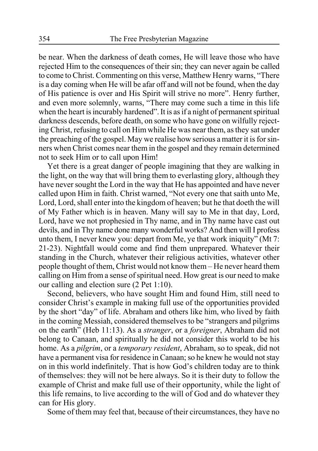be near. When the darkness of death comes, He will leave those who have rejected Him to the consequences of their sin; they can never again be called to come to Christ. Commenting on this verse, Matthew Henry warns, "There is a day coming when He will be afar off and will not be found, when the day of His patience is over and His Spirit will strive no more". Henry further, and even more solemnly, warns, "There may come such a time in this life when the heart is incurably hardened". It is as if a night of permanent spiritual darkness descends, before death, on some who have gone on wilfully rejecting Christ, refusing to call on Him while He was near them, as they sat under the preaching of the gospel. May we realise how serious a matter it is for sinners when Christ comes near them in the gospel and they remain determined not to seek Him or to call upon Him!

Yet there is a great danger of people imagining that they are walking in the light, on the way that will bring them to everlasting glory, although they have never sought the Lord in the way that He has appointed and have never called upon Him in faith. Christ warned, "Not every one that saith unto Me, Lord, Lord, shall enter into the kingdom of heaven; but he that doeth the will of My Father which is in heaven. Many will say to Me in that day, Lord, Lord, have we not prophesied in Thy name, and in Thy name have cast out devils, and in Thy name done many wonderful works? And then will I profess unto them, I never knew you: depart from Me, ye that work iniquity" (Mt 7: 21-23). Nightfall would come and find them unprepared. Whatever their standing in the Church, whatever their religious activities, whatever other people thought of them, Christ would not know them – He never heard them calling on Him from a sense of spiritual need. How great is our need to make our calling and election sure (2 Pet 1:10).

Second, believers, who have sought Him and found Him, still need to consider Christ's example in making full use of the opportunities provided by the short "day" of life. Abraham and others like him, who lived by faith in the coming Messiah, considered themselves to be "strangers and pilgrims on the earth" (Heb 11:13). As a *stranger*, or a *foreigner*, Abraham did not belong to Canaan, and spiritually he did not consider this world to be his home. As a *pilgrim*, or a *temporary resident*, Abraham, so to speak, did not have a permanent visa for residence in Canaan; so he knew he would not stay on in this world indefinitely. That is how God's children today are to think of themselves: they will not be here always. So it is their duty to follow the example of Christ and make full use of their opportunity, while the light of this life remains, to live according to the will of God and do whatever they can for His glory.

Some of them may feel that, because of their circumstances, they have no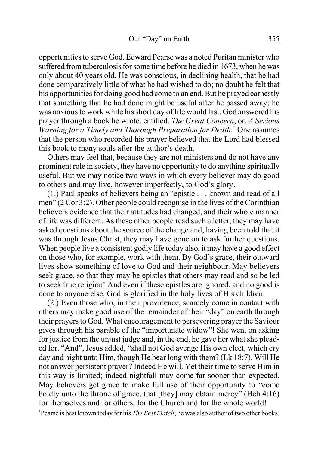opportunities to serve God. Edward Pearse was a noted Puritan minister who suffered from tuberculosis for some time before he died in 1673, when he was only about 40 years old. He was conscious, in declining health, that he had done comparatively little of what he had wished to do; no doubt he felt that his opportunities for doing good had come to an end. But he prayed earnestly that something that he had done might be useful after he passed away; he was anxious to work while his short day of life would last. God answered his prayer through a book he wrote, entitled, *The Great Concern*, or, *A Serious Warning for a Timely and Thorough Preparation for Death.*<sup>1</sup> One assumes that the person who recorded his prayer believed that the Lord had blessed this book to many souls after the author's death.

Others may feel that, because they are not ministers and do not have any prominent role in society, they have no opportunity to do anything spiritually useful. But we may notice two ways in which every believer may do good to others and may live, however imperfectly, to God's glory.

(1.) Paul speaks of believers being an "epistle . . . known and read of all men" (2 Cor 3:2). Other people could recognise in the lives of the Corinthian believers evidence that their attitudes had changed, and their whole manner of life was different. As these other people read such a letter, they may have asked questions about the source of the change and, having been told that it was through Jesus Christ, they may have gone on to ask further questions. When people live a consistent godly life today also, it may have a good effect on those who, for example, work with them. By God's grace, their outward lives show something of love to God and their neighbour. May believers seek grace, so that they may be epistles that others may read and so be led to seek true religion! And even if these epistles are ignored, and no good is done to anyone else, God is glorified in the holy lives of His children.

(2.) Even those who, in their providence, scarcely come in contact with others may make good use of the remainder of their "day" on earth through their prayers to God. What encouragement to persevering prayer the Saviour gives through his parable of the "importunate widow"! She went on asking for justice from the unjust judge and, in the end, he gave her what she pleaded for. "And", Jesus added, "shall not God avenge His own elect, which cry day and night unto Him, though He bear long with them? (Lk 18:7). Will He not answer persistent prayer? Indeed He will. Yet their time to serve Him in this way is limited; indeed nightfall may come far sooner than expected. May believers get grace to make full use of their opportunity to "come boldly unto the throne of grace, that [they] may obtain mercy" (Heb 4:16) for themselves and for others, for the Church and for the whole world! <sup>1</sup>Pearse is best known today for his *The Best Match*; he was also author of two other books.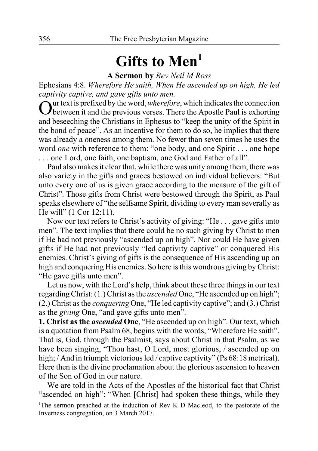# Gifts to Men<sup>1</sup>

**A Sermon by** *Rev Neil M Ross*

Ephesians 4:8. *Wherefore He saith, When He ascended up on high, He led captivity captive, and gave gifts unto men.*

Our text is prefixed by the word, *wherefore*, which indicates the connection between it and the previous verses. There the Apostle Paul is exhorting and beseeching the Christians in Ephesus to "keep the unity of the Spirit in the bond of peace". As an incentive for them to do so, he implies that there was already a oneness among them. No fewer than seven times he uses the word *one* with reference to them: "one body, and one Spirit . . . one hope . . . one Lord, one faith, one baptism, one God and Father of all".

Paul also makes it clear that, while there was unity among them, there was also variety in the gifts and graces bestowed on individual believers: "But unto every one of us is given grace according to the measure of the gift of Christ". Those gifts from Christ were bestowed through the Spirit, as Paul speaks elsewhere of "the selfsame Spirit, dividing to every man severally as He will" (1 Cor 12:11).

Now our text refers to Christ's activity of giving: "He . . . gave gifts unto men". The text implies that there could be no such giving by Christ to men if He had not previously "ascended up on high". Nor could He have given gifts if He had not previously "led captivity captive" or conquered His enemies. Christ's giving of gifts is the consequence of His ascending up on high and conquering His enemies. So here is this wondrous giving by Christ: "He gave gifts unto men".

Let us now, with the Lord's help, think about these three things in our text regarding Christ: (1.) Christ as the *ascended* One, "He ascended up on high"; (2.) Christ as the *conquering* One, "He led captivity captive"; and (3.) Christ as the *giving* One, "and gave gifts unto men".

**1. Christ as the** *ascended* **One**, "He ascended up on high". Our text, which is a quotation from Psalm 68, begins with the words, "Wherefore He saith". That is, God, through the Psalmist, says about Christ in that Psalm, as we have been singing, "Thou hast, O Lord, most glorious, / ascended up on high; / And in triumph victorious led / captive captivity" (Ps 68:18 metrical). Here then is the divine proclamation about the glorious ascension to heaven of the Son of God in our nature.

We are told in the Acts of the Apostles of the historical fact that Christ "ascended on high": "When [Christ] had spoken these things, while they <sup>1</sup>The sermon preached at the induction of Rev K D Macleod, to the pastorate of the Inverness congregation, on 3 March 2017.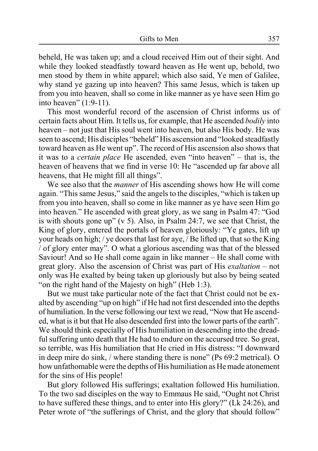beheld, He was taken up; and a cloud received Him out of their sight. And while they looked steadfastly toward heaven as He went up, behold, two men stood by them in white apparel; which also said, Ye men of Galilee, why stand ye gazing up into heaven? This same Jesus, which is taken up from you into heaven, shall so come in like manner as ye have seen Him go into heaven" (1:9-11).

This most wonderful record of the ascension of Christ informs us of certain facts about Him. It tells us, for example, that He ascended *bodily* into heaven – not just that His soul went into heaven, but also His body. He was seen to ascend; His disciples "beheld" His ascension and "looked steadfastly toward heaven as He went up". The record of His ascension also shows that it was to a *certain place* He ascended, even "into heaven" – that is, the heaven of heavens that we find in verse 10: He "ascended up far above all heavens, that He might fill all things".

We see also that the *manner* of His ascending shows how He will come again. "This same Jesus," said the angels to the disciples, "which is taken up from you into heaven, shall so come in like manner as ye have seen Him go into heaven." He ascended with great glory, as we sang in Psalm 47: "God is with shouts gone up" (v 5). Also, in Psalm 24:7, we see that Christ, the King of glory, entered the portals of heaven gloriously: "Ye gates, lift up your heads on high; / ye doors that last for aye, / Be lifted up, that so the King / of glory enter may". O what a glorious ascending was that of the blessed Saviour! And so He shall come again in like manner – He shall come with great glory. Also the ascension of Christ was part of His *exaltation* – not only was He exalted by being taken up gloriously but also by being seated "on the right hand of the Majesty on high" (Heb 1:3).

But we must take particular note of the fact that Christ could not be exalted by ascending "up on high" if He had not first descended into the depths of humiliation. In the verse following our text we read, "Now that He ascended, what is it but that He also descended first into the lower parts of the earth". We should think especially of His humiliation in descending into the dreadful suffering unto death that He had to endure on the accursed tree. So great, so terrible, was His humiliation that He cried in His distress: "I downward in deep mire do sink, / where standing there is none" (Ps 69:2 metrical). O how unfathomable were the depths of His humiliation as He made atonement for the sins of His people!

But glory followed His sufferings; exaltation followed His humiliation. To the two sad disciples on the way to Emmaus He said, "Ought not Christ to have suffered these things, and to enter into His glory?" (Lk 24:26), and Peter wrote of "the sufferings of Christ, and the glory that should follow"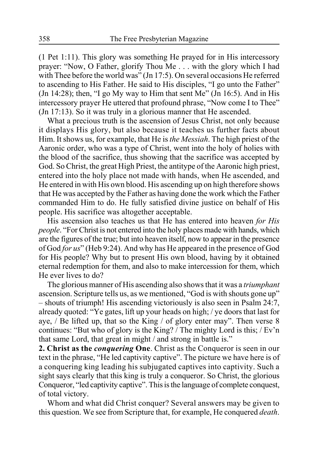(1 Pet 1:11). This glory was something He prayed for in His intercessory prayer: "Now, O Father, glorify Thou Me . . . with the glory which I had with Thee before the world was" (Jn 17:5). On several occasions He referred to ascending to His Father. He said to His disciples, "I go unto the Father" (Jn 14:28); then, "I go My way to Him that sent Me" (Jn 16:5). And in His intercessory prayer He uttered that profound phrase, "Now come I to Thee" (Jn 17:13). So it was truly in a glorious manner that He ascended.

What a precious truth is the ascension of Jesus Christ, not only because it displays His glory, but also because it teaches us further facts about Him. It shows us, for example, that He is *the Messiah*. The high priest of the Aaronic order, who was a type of Christ, went into the holy of holies with the blood of the sacrifice, thus showing that the sacrifice was accepted by God. So Christ, the great High Priest, the antitype of the Aaronic high priest, entered into the holy place not made with hands, when He ascended, and He entered in with His own blood. His ascending up on high therefore shows that He was accepted by the Father as having done the work which the Father commanded Him to do. He fully satisfied divine justice on behalf of His people. His sacrifice was altogether acceptable.

His ascension also teaches us that He has entered into heaven *for His people*. "For Christ is not entered into the holy places made with hands, which are the figures of the true; but into heaven itself, now to appear in the presence of God *for us*" (Heb 9:24). And why has He appeared in the presence of God for His people? Why but to present His own blood, having by it obtained eternal redemption for them, and also to make intercession for them, which He ever lives to do?

The glorious manner of His ascending also shows that it was a *triumphant* ascension. Scripture tells us, as we mentioned, "God is with shouts gone up" – shouts of triumph! His ascending victoriously is also seen in Psalm 24:7, already quoted: "Ye gates, lift up your heads on high; / ye doors that last for aye, / Be lifted up, that so the King / of glory enter may". Then verse 8 continues: "But who of glory is the King? / The mighty Lord is this; / Ev'n that same Lord, that great in might / and strong in battle is."

**2. Christ as the** *conquering* **One**. Christ as the Conqueror is seen in our text in the phrase, "He led captivity captive". The picture we have here is of a conquering king leading his subjugated captives into captivity. Such a sight says clearly that this king is truly a conqueror. So Christ, the glorious Conqueror, "led captivity captive". This is the language of complete conquest, of total victory.

Whom and what did Christ conquer? Several answers may be given to this question. We see from Scripture that, for example, He conquered *death*.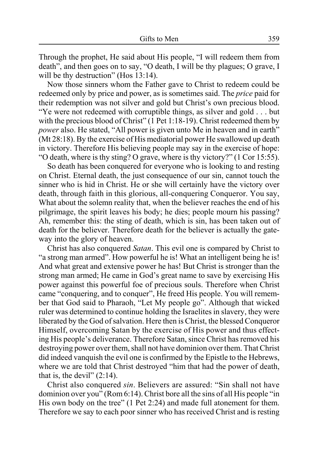Through the prophet, He said about His people, "I will redeem them from death", and then goes on to say, "O death, I will be thy plagues; O grave, I will be thy destruction" (Hos 13:14).

Now those sinners whom the Father gave to Christ to redeem could be redeemed only by price and power, as is sometimes said. The *price* paid for their redemption was not silver and gold but Christ's own precious blood. "Ye were not redeemed with corruptible things, as silver and gold . . . but with the precious blood of Christ" (1 Pet 1:18-19). Christ redeemed them by *power* also. He stated, "All power is given unto Me in heaven and in earth" (Mt 28:18). By the exercise of His mediatorial power He swallowed up death in victory. Therefore His believing people may say in the exercise of hope: "O death, where is thy sting? O grave, where is thy victory?" (1 Cor 15:55).

So death has been conquered for everyone who is looking to and resting on Christ. Eternal death, the just consequence of our sin, cannot touch the sinner who is hid in Christ. He or she will certainly have the victory over death, through faith in this glorious, all-conquering Conqueror. You say, What about the solemn reality that, when the believer reaches the end of his pilgrimage, the spirit leaves his body; he dies; people mourn his passing? Ah, remember this: the sting of death, which is sin, has been taken out of death for the believer. Therefore death for the believer is actually the gateway into the glory of heaven.

Christ has also conquered *Satan*. This evil one is compared by Christ to "a strong man armed". How powerful he is! What an intelligent being he is! And what great and extensive power he has! But Christ is stronger than the strong man armed; He came in God's great name to save by exercising His power against this powerful foe of precious souls. Therefore when Christ came "conquering, and to conquer", He freed His people. You will remember that God said to Pharaoh, "Let My people go". Although that wicked ruler was determined to continue holding the Israelites in slavery, they were liberated by the God of salvation. Here then is Christ, the blessed Conqueror Himself, overcoming Satan by the exercise of His power and thus effecting His people's deliverance. Therefore Satan, since Christ has removed his destroying power over them, shall not have dominion over them. That Christ did indeed vanquish the evil one is confirmed by the Epistle to the Hebrews, where we are told that Christ destroyed "him that had the power of death, that is, the devil"  $(2:14)$ .

Christ also conquered *sin*. Believers are assured: "Sin shall not have dominion over you" (Rom 6:14). Christ bore all the sins of all His people "in His own body on the tree" (1 Pet 2:24) and made full atonement for them. Therefore we say to each poor sinner who has received Christ and is resting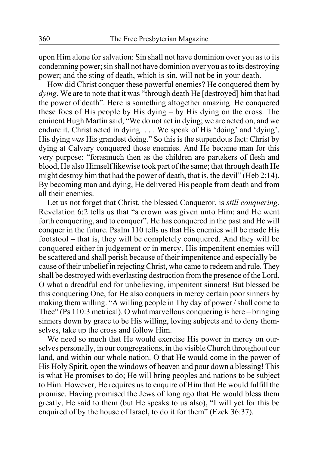upon Him alone for salvation: Sin shall not have dominion over you as to its condemning power; sin shall not have dominion over you as to its destroying power; and the sting of death, which is sin, will not be in your death.

How did Christ conquer these powerful enemies? He conquered them by *dying*, We are to note that it was "through death He [destroyed] him that had the power of death". Here is something altogether amazing: He conquered these foes of His people by His dying – by His dying on the cross. The eminent Hugh Martin said, "We do not act in dying; we are acted on, and we endure it. Christ acted in dying. . . . We speak of His 'doing' and 'dying'. His dying *was* His grandest doing." So this is the stupendous fact: Christ by dying at Calvary conquered those enemies. And He became man for this very purpose: "forasmuch then as the children are partakers of flesh and blood, He also Himself likewise took part of the same; that through death He might destroy him that had the power of death, that is, the devil" (Heb 2:14). By becoming man and dying, He delivered His people from death and from all their enemies.

Let us not forget that Christ, the blessed Conqueror, is *still conquering*. Revelation 6:2 tells us that "a crown was given unto Him: and He went forth conquering, and to conquer". He has conquered in the past and He will conquer in the future. Psalm 110 tells us that His enemies will be made His footstool – that is, they will be completely conquered. And they will be conquered either in judgement or in mercy. His impenitent enemies will be scattered and shall perish because of their impenitence and especially because of their unbelief in rejecting Christ, who came to redeem and rule. They shall be destroyed with everlasting destruction from the presence of the Lord. O what a dreadful end for unbelieving, impenitent sinners! But blessed be this conquering One, for He also conquers in mercy certain poor sinners by making them willing. "A willing people in Thy day of power / shall come to Thee" (Ps 110:3 metrical). O what marvellous conquering is here – bringing sinners down by grace to be His willing, loving subjects and to deny themselves, take up the cross and follow Him.

We need so much that He would exercise His power in mercy on ourselves personally, in our congregations, in the visible Church throughout our land, and within our whole nation. O that He would come in the power of His Holy Spirit, open the windows of heaven and pour down a blessing! This is what He promises to do; He will bring peoples and nations to be subject to Him. However, He requires us to enquire of Him that He would fulfill the promise. Having promised the Jews of long ago that He would bless them greatly, He said to them (but He speaks to us also), "I will yet for this be enquired of by the house of Israel, to do it for them" (Ezek 36:37).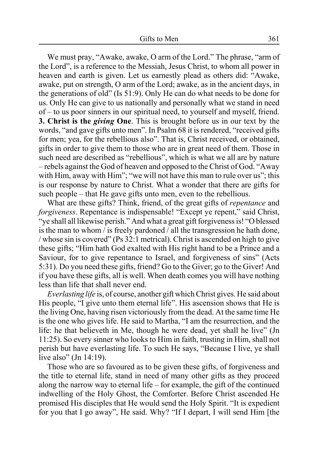We must pray, "Awake, awake, O arm of the Lord." The phrase, "arm of the Lord", is a reference to the Messiah, Jesus Christ, to whom all power in heaven and earth is given. Let us earnestly plead as others did: "Awake, awake, put on strength, O arm of the Lord; awake, as in the ancient days, in the generations of old" (Is 51:9). Only He can do what needs to be done for us. Only He can give to us nationally and personally what we stand in need of – to us poor sinners in our spiritual need, to yourself and myself, friend. **3. Christ is the** *giving* **One**. This is brought before us in our text by the words, "and gave gifts unto men". In Psalm 68 it is rendered, "received gifts for men; yea, for the rebellious also". That is, Christ received, or obtained, gifts in order to give them to those who are in great need of them. Those in such need are described as "rebellious", which is what we all are by nature – rebels against the God of heaven and opposed to the Christ of God. "Away with Him, away with Him"; "we will not have this man to rule over us"; this is our response by nature to Christ. What a wonder that there are gifts for such people – that He gave gifts unto men, even to the rebellious.

What are these gifts? Think, friend, of the great gifts of *repentance* and *forgiveness*. Repentance is indispensable! "Except ye repent," said Christ, "ye shall all likewise perish." And what a great gift forgiveness is! "O blessed is the man to whom / is freely pardoned / all the transgression he hath done, / whose sin is covered" (Ps 32:1 metrical). Christ is ascended on high to give these gifts; "Him hath God exalted with His right hand to be a Prince and a Saviour, for to give repentance to Israel, and forgiveness of sins" (Acts 5:31). Do you need these gifts, friend? Go to the Giver; go to the Giver! And if you have these gifts, all is well. When death comes you will have nothing less than life that shall never end.

*Everlasting life* is, of course, another gift which Christ gives. He said about His people, "I give unto them eternal life". His ascension shows that He is the living One, having risen victoriously from the dead. At the same time He is the one who gives life. He said to Martha, "I am the resurrection, and the life: he that believeth in Me, though he were dead, yet shall he live" (Jn 11:25). So every sinner who looks to Him in faith, trusting in Him, shall not perish but have everlasting life. To such He says, "Because I live, ye shall live also" (Jn 14:19).

Those who are so favoured as to be given these gifts, of forgiveness and the title to eternal life, stand in need of many other gifts as they proceed along the narrow way to eternal life – for example, the gift of the continued indwelling of the Holy Ghost, the Comforter. Before Christ ascended He promised His disciples that He would send the Holy Spirit. "It is expedient for you that I go away", He said. Why? "If I depart, I will send Him [the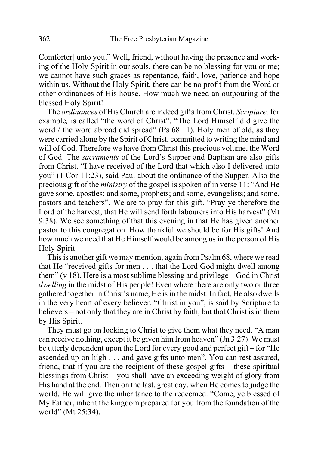Comforter] unto you." Well, friend, without having the presence and working of the Holy Spirit in our souls, there can be no blessing for you or me; we cannot have such graces as repentance, faith, love, patience and hope within us. Without the Holy Spirit, there can be no profit from the Word or other ordinances of His house. How much we need an outpouring of the blessed Holy Spirit!

The *ordinances* of His Church are indeed gifts from Christ. *Scripture,* for example*,* is called "the word of Christ". "The Lord Himself did give the word / the word abroad did spread" (Ps 68:11). Holy men of old, as they were carried along by the Spirit of Christ, committed to writing the mind and will of God. Therefore we have from Christ this precious volume, the Word of God. The *sacraments* of the Lord's Supper and Baptism are also gifts from Christ. "I have received of the Lord that which also I delivered unto you" (1 Cor 11:23), said Paul about the ordinance of the Supper. Also the precious gift of the *ministry* of the gospel is spoken of in verse 11: "And He gave some, apostles; and some, prophets; and some, evangelists; and some, pastors and teachers". We are to pray for this gift. "Pray ye therefore the Lord of the harvest, that He will send forth labourers into His harvest" (Mt 9:38). We see something of that this evening in that He has given another pastor to this congregation. How thankful we should be for His gifts! And how much we need that He Himself would be among us in the person of His Holy Spirit.

This is another gift we may mention, again from Psalm 68, where we read that He "received gifts for men . . . that the Lord God might dwell among them" (v 18). Here is a most sublime blessing and privilege – God in Christ *dwelling* in the midst of His people! Even where there are only two or three gathered together in Christ's name, He is in the midst. In fact, He also dwells in the very heart of every believer. "Christ in you", is said by Scripture to believers – not only that they are in Christ by faith, but that Christ is in them by His Spirit.

They must go on looking to Christ to give them what they need. "A man can receive nothing, except it be given him from heaven" (Jn 3:27). We must be utterly dependent upon the Lord for every good and perfect gift – for "He ascended up on high . . . and gave gifts unto men". You can rest assured, friend, that if you are the recipient of these gospel gifts – these spiritual blessings from Christ – you shall have an exceeding weight of glory from His hand at the end. Then on the last, great day, when He comes to judge the world, He will give the inheritance to the redeemed. "Come, ye blessed of My Father, inherit the kingdom prepared for you from the foundation of the world" (Mt 25:34).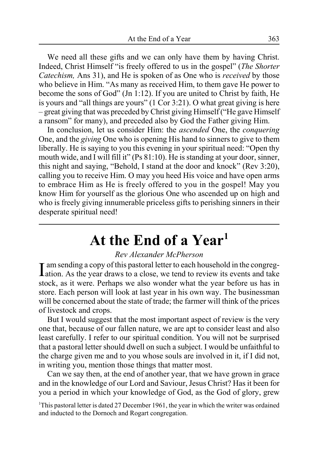We need all these gifts and we can only have them by having Christ. Indeed, Christ Himself "is freely offered to us in the gospel" (*The Shorter Catechism,* Ans 31), and He is spoken of as One who is *received* by those who believe in Him. "As many as received Him, to them gave He power to become the sons of God" (Jn 1:12). If you are united to Christ by faith, He is yours and "all things are yours" (1 Cor 3:21). O what great giving is here – great giving that was preceded by Christ giving Himself ("He gave Himself a ransom" for many), and preceded also by God the Father giving Him.

In conclusion, let us consider Him: the *ascended* One, the *conquering* One, and the *giving* One who is opening His hand to sinners to give to them liberally. He is saying to you this evening in your spiritual need: "Open thy mouth wide, and I will fill it" (Ps 81:10). He is standing at your door, sinner, this night and saying, "Behold, I stand at the door and knock" (Rev 3:20), calling you to receive Him. O may you heed His voice and have open arms to embrace Him as He is freely offered to you in the gospel! May you know Him for yourself as the glorious One who ascended up on high and who is freely giving innumerable priceless gifts to perishing sinners in their desperate spiritual need!

# **At the End of a Year1**

#### *Rev Alexander McPherson*

I am sending a copy of this pastoral letter to each household in the congreg-<br>I ation. As the year draws to a close, we tend to review its events and take **T** am sending a copy of this pastoral letter to each household in the congregstock, as it were. Perhaps we also wonder what the year before us has in store. Each person will look at last year in his own way. The businessman will be concerned about the state of trade; the farmer will think of the prices of livestock and crops.

But I would suggest that the most important aspect of review is the very one that, because of our fallen nature, we are apt to consider least and also least carefully. I refer to our spiritual condition. You will not be surprised that a pastoral letter should dwell on such a subject. I would be unfaithful to the charge given me and to you whose souls are involved in it, if I did not, in writing you, mention those things that matter most.

Can we say then, at the end of another year, that we have grown in grace and in the knowledge of our Lord and Saviour, Jesus Christ? Has it been for you a period in which your knowledge of God, as the God of glory, grew

<sup>1</sup>This pastoral letter is dated 27 December 1961, the year in which the writer was ordained and inducted to the Dornoch and Rogart congregation.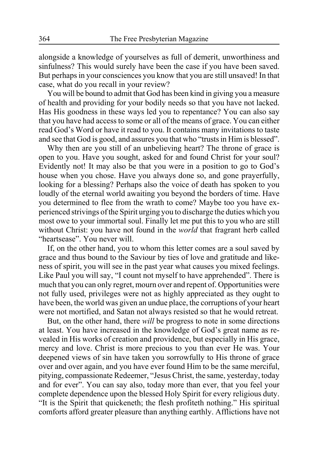alongside a knowledge of yourselves as full of demerit, unworthiness and sinfulness? This would surely have been the case if you have been saved. But perhaps in your consciences you know that you are still unsaved! In that case, what do you recall in your review?

You will be bound to admit that God has been kind in giving you a measure of health and providing for your bodily needs so that you have not lacked. Has His goodness in these ways led you to repentance? You can also say that you have had access to some or all of the means of grace. You can either read God's Word or have it read to you. It contains many invitations to taste and see that God is good, and assures you that who "trusts in Him is blessed".

Why then are you still of an unbelieving heart? The throne of grace is open to you. Have you sought, asked for and found Christ for your soul? Evidently not! It may also be that you were in a position to go to God's house when you chose. Have you always done so, and gone prayerfully, looking for a blessing? Perhaps also the voice of death has spoken to you loudly of the eternal world awaiting you beyond the borders of time. Have you determined to flee from the wrath to come? Maybe too you have experienced strivings of the Spirit urging you to discharge the duties which you most owe to your immortal soul. Finally let me put this to you who are still without Christ: you have not found in the *world* that fragrant herb called "heartsease". You never will.

If, on the other hand, you to whom this letter comes are a soul saved by grace and thus bound to the Saviour by ties of love and gratitude and likeness of spirit, you will see in the past year what causes you mixed feelings. Like Paul you will say, "I count not myself to have apprehended". There is much that you can only regret, mourn over and repent of. Opportunities were not fully used, privileges were not as highly appreciated as they ought to have been, the world was given an undue place, the corruptions of your heart were not mortified, and Satan not always resisted so that he would retreat.

But, on the other hand, there *will* be progress to note in some directions at least. You have increased in the knowledge of God's great name as revealed in His works of creation and providence, but especially in His grace, mercy and love. Christ is more precious to you than ever He was. Your deepened views of sin have taken you sorrowfully to His throne of grace over and over again, and you have ever found Him to be the same merciful, pitying, compassionate Redeemer, "Jesus Christ, the same, yesterday, today and for ever". You can say also, today more than ever, that you feel your complete dependence upon the blessed Holy Spirit for every religious duty. "It is the Spirit that quickeneth; the flesh profiteth nothing." His spiritual comforts afford greater pleasure than anything earthly. Afflictions have not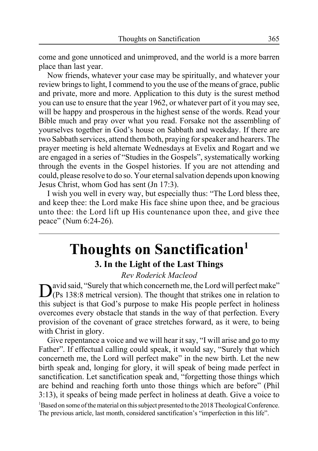come and gone unnoticed and unimproved, and the world is a more barren place than last year.

Now friends, whatever your case may be spiritually, and whatever your review brings to light, I commend to you the use of the means of grace, public and private, more and more. Application to this duty is the surest method you can use to ensure that the year 1962, or whatever part of it you may see, will be happy and prosperous in the highest sense of the words. Read your Bible much and pray over what you read. Forsake not the assembling of yourselves together in God's house on Sabbath and weekday. If there are two Sabbath services, attend them both, praying for speaker and hearers. The prayer meeting is held alternate Wednesdays at Evelix and Rogart and we are engaged in a series of "Studies in the Gospels", systematically working through the events in the Gospel histories. If you are not attending and could, please resolve to do so. Your eternal salvation depends upon knowing Jesus Christ, whom God has sent (Jn 17:3).

I wish you well in every way, but especially thus: "The Lord bless thee, and keep thee: the Lord make His face shine upon thee, and be gracious unto thee: the Lord lift up His countenance upon thee, and give thee peace" (Num 6:24-26).

# **Thoughts on Sanctification1 3. In the Light of the Last Things**

*Rev Roderick Macleod*

David said, "Surely that which concerneth me, the Lord will perfect make"<br>(Ps 138:8 metrical version). The thought that strikes one in relation to this subject is that God's purpose to make His people perfect in holiness overcomes every obstacle that stands in the way of that perfection. Every provision of the covenant of grace stretches forward, as it were, to being with Christ in glory.

Give repentance a voice and we will hear it say, "I will arise and go to my Father". If effectual calling could speak, it would say, "Surely that which concerneth me, the Lord will perfect make" in the new birth. Let the new birth speak and, longing for glory, it will speak of being made perfect in sanctification. Let sanctification speak and, "forgetting those things which are behind and reaching forth unto those things which are before" (Phil 3:13), it speaks of being made perfect in holiness at death. Give a voice to <sup>1</sup>Based on some of the material on this subject presented to the 2018 Theological Conference. The previous article, last month, considered sanctification's "imperfection in this life".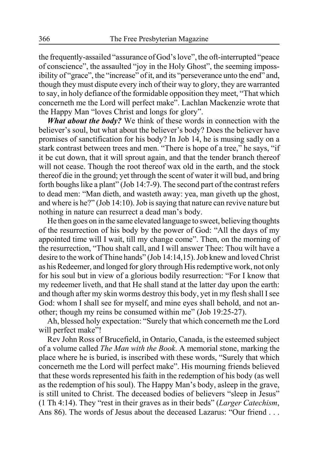the frequently-assailed "assurance of God's love", the oft-interrupted "peace of conscience", the assaulted "joy in the Holy Ghost", the seeming impossibility of "grace", the "increase" of it, and its "perseverance unto the end" and, though they must dispute every inch of their way to glory, they are warranted to say, in holy defiance of the formidable opposition they meet, "That which concerneth me the Lord will perfect make". Lachlan Mackenzie wrote that the Happy Man "loves Christ and longs for glory".

*What about the body?* We think of these words in connection with the believer's soul, but what about the believer's body? Does the believer have promises of sanctification for his body? In Job 14, he is musing sadly on a stark contrast between trees and men. "There is hope of a tree," he says, "if it be cut down, that it will sprout again, and that the tender branch thereof will not cease. Though the root thereof wax old in the earth, and the stock thereof die in the ground; yet through the scent of water it will bud, and bring forth boughs like a plant" (Job 14:7-9). The second part of the contrast refers to dead men: "Man dieth, and wasteth away: yea, man giveth up the ghost, and where is he?" (Job 14:10). Job is saying that nature can revive nature but nothing in nature can resurrect a dead man's body.

He then goes on in the same elevated language to sweet, believing thoughts of the resurrection of his body by the power of God: "All the days of my appointed time will I wait, till my change come". Then, on the morning of the resurrection, "Thou shalt call, and I will answer Thee: Thou wilt have a desire to the work of Thine hands" (Job 14:14,15). Job knew and loved Christ as his Redeemer, and longed for glory through His redemptive work, not only for his soul but in view of a glorious bodily resurrection: "For I know that my redeemer liveth, and that He shall stand at the latter day upon the earth: and though after my skin worms destroy this body, yet in my flesh shall I see God: whom I shall see for myself, and mine eyes shall behold, and not another; though my reins be consumed within me" (Job 19:25-27).

Ah, blessed holy expectation: "Surely that which concerneth me the Lord will perfect make"!

Rev John Ross of Brucefield, in Ontario, Canada, is the esteemed subject of a volume called *The Man with the Book*. A memorial stone, marking the place where he is buried, is inscribed with these words, "Surely that which concerneth me the Lord will perfect make". His mourning friends believed that these words represented his faith in the redemption of his body (as well as the redemption of his soul). The Happy Man's body, asleep in the grave, is still united to Christ. The deceased bodies of believers "sleep in Jesus" (1 Th 4:14). They "rest in their graves as in their beds" (*Larger Catechism*, Ans 86). The words of Jesus about the deceased Lazarus: "Our friend . . .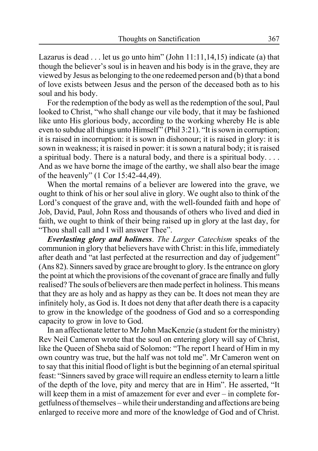Lazarus is dead  $\dots$  let us go unto him" (John 11:11,14,15) indicate (a) that though the believer's soul is in heaven and his body is in the grave, they are viewed by Jesus as belonging to the one redeemed person and (b) that a bond of love exists between Jesus and the person of the deceased both as to his soul and his body.

For the redemption of the body as well as the redemption of the soul, Paul looked to Christ, "who shall change our vile body, that it may be fashioned like unto His glorious body, according to the working whereby He is able even to subdue all things unto Himself" (Phil 3:21). "It is sown in corruption; it is raised in incorruption: it is sown in dishonour; it is raised in glory: it is sown in weakness; it is raised in power: it is sown a natural body; it is raised a spiritual body. There is a natural body, and there is a spiritual body.... And as we have borne the image of the earthy, we shall also bear the image of the heavenly" (1 Cor 15:42-44,49).

When the mortal remains of a believer are lowered into the grave, we ought to think of his or her soul alive in glory. We ought also to think of the Lord's conquest of the grave and, with the well-founded faith and hope of Job, David, Paul, John Ross and thousands of others who lived and died in faith, we ought to think of their being raised up in glory at the last day, for "Thou shall call and I will answer Thee".

*Everlasting glory and holiness*. *The Larger Catechism* speaks of the communion in glory that believers have with Christ: in this life, immediately after death and "at last perfected at the resurrection and day of judgement" (Ans 82). Sinners saved by grace are brought to glory. Is the entrance on glory the point at which the provisions of the covenant of grace are finally and fully realised? The souls of believers are then made perfect in holiness. This means that they are as holy and as happy as they can be. It does not mean they are infinitely holy, as God is. It does not deny that after death there is a capacity to grow in the knowledge of the goodness of God and so a corresponding capacity to grow in love to God.

In an affectionate letter to Mr John MacKenzie (a student for the ministry) Rev Neil Cameron wrote that the soul on entering glory will say of Christ, like the Queen of Sheba said of Solomon: "The report I heard of Him in my own country was true, but the half was not told me". Mr Cameron went on to say that this initial flood of light is but the beginning of an eternal spiritual feast: "Sinners saved by grace will require an endless eternity to learn a little of the depth of the love, pity and mercy that are in Him". He asserted, "It will keep them in a mist of amazement for ever and ever – in complete forgetfulness of themselves – while their understanding and affections are being enlarged to receive more and more of the knowledge of God and of Christ.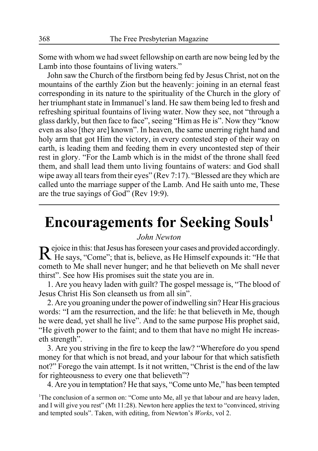Some with whom we had sweet fellowship on earth are now being led by the Lamb into those fountains of living waters."

John saw the Church of the firstborn being fed by Jesus Christ, not on the mountains of the earthly Zion but the heavenly: joining in an eternal feast corresponding in its nature to the spirituality of the Church in the glory of her triumphant state in Immanuel's land. He saw them being led to fresh and refreshing spiritual fountains of living water. Now they see, not "through a glass darkly, but then face to face", seeing "Him as He is". Now they "know even as also [they are] known". In heaven, the same unerring right hand and holy arm that got Him the victory, in every contested step of their way on earth, is leading them and feeding them in every uncontested step of their rest in glory. "For the Lamb which is in the midst of the throne shall feed them, and shall lead them unto living fountains of waters: and God shall wipe away all tears from their eyes" (Rev 7:17). "Blessed are they which are called unto the marriage supper of the Lamb. And He saith unto me, These are the true sayings of God" (Rev 19:9).

# **Encouragements for Seeking Souls1**

#### *John Newton*

Rejoice in this: that Jesus has foreseen your cases and provided accordingly. He says, "Come"; that is, believe, as He Himself expounds it: "He that cometh to Me shall never hunger; and he that believeth on Me shall never thirst". See how His promises suit the state you are in.

1. Are you heavy laden with guilt? The gospel message is, "The blood of Jesus Christ His Son cleanseth us from all sin".

2. Are you groaning under the power of indwelling sin? Hear His gracious words: "I am the resurrection, and the life: he that believeth in Me, though he were dead, yet shall he live". And to the same purpose His prophet said, "He giveth power to the faint; and to them that have no might He increaseth strength".

3. Are you striving in the fire to keep the law? "Wherefore do you spend money for that which is not bread, and your labour for that which satisfieth not?" Forego the vain attempt. Is it not written, "Christ is the end of the law for righteousness to every one that believeth"?

4. Are you in temptation? He that says, "Come unto Me," has been tempted

<sup>1</sup>The conclusion of a sermon on: "Come unto Me, all ye that labour and are heavy laden, and I will give you rest" (Mt 11:28). Newton here applies the text to "convinced, striving and tempted souls". Taken, with editing, from Newton's *Works*, vol 2.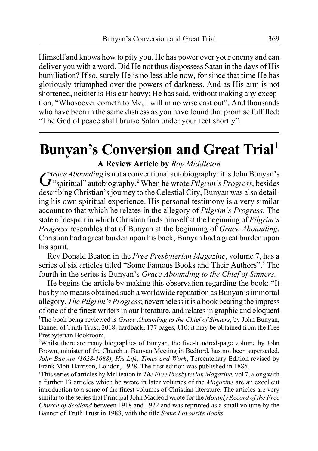Himself and knows how to pity you. He has power over your enemy and can deliver you with a word. Did He not thus dispossess Satan in the days of His humiliation? If so, surely He is no less able now, for since that time He has gloriously triumphed over the powers of darkness. And as His arm is not shortened, neither is His ear heavy; He has said, without making any exception, "Whosoever cometh to Me, I will in no wise cast out". And thousands who have been in the same distress as you have found that promise fulfilled: "The God of peace shall bruise Satan under your feet shortly".

# **Bunyan's Conversion and Great Trial<sup>1</sup>**

### **A Review Article by** *Roy Middleton*

Grace *Abounding* is not a conventional autobiography: it is John Bunyan's  $G^*$  spiritual" autobiography.<sup>2</sup> When he wrote *Pilgrim's Progress*, besides describing Christian's journey to the Celestial City, Bunyan was also detailing his own spiritual experience. His personal testimony is a very similar account to that which he relates in the allegory of *Pilgrim's Progress*. The state of despair in which Christian finds himself at the beginning of *Pilgrim's Progress* resembles that of Bunyan at the beginning of *Grace Abounding*. Christian had a great burden upon his back; Bunyan had a great burden upon his spirit.

Rev Donald Beaton in the *Free Presbyterian Magazine*, volume 7, has a series of six articles titled "Some Famous Books and Their Authors".<sup>3</sup> The fourth in the series is Bunyan's *Grace Abounding to the Chief of Sinners*.

He begins the article by making this observation regarding the book: "It has by no means obtained such a worldwide reputation as Bunyan's immortal allegory, *The Pilgrim's Progress*; nevertheless it is a book bearing the impress of one of the finest writers in our literature, and relates in graphic and eloquent <sup>1</sup>The book being reviewed is *Grace Abounding to the Chief of Sinners*, by John Bunyan, Banner of Truth Trust, 2018, hardback, 177 pages, £10; it may be obtained from the Free Presbyterian Bookroom.

<sup>2</sup>Whilst there are many biographies of Bunyan, the five-hundred-page volume by John Brown, minister of the Church at Bunyan Meeting in Bedford, has not been superseded. *John Bunyan (1628-1688), His Life, Times and Work*, Tercentenary Edition revised by Frank Mott Harrison, London, 1928. The first edition was published in 1885.

3 This series of articles by Mr Beaton in *The Free Presbyterian Magazine,* vol 7, along with a further 13 articles which he wrote in later volumes of the *Magazine* are an excellent introduction to a some of the finest volumes of Christian literature. The articles are very similar to the series that Principal John Macleod wrote for the *Monthly Record of the Free Church of Scotland* between 1918 and 1922 and was reprinted as a small volume by the Banner of Truth Trust in 1988, with the title *Some Favourite Books*.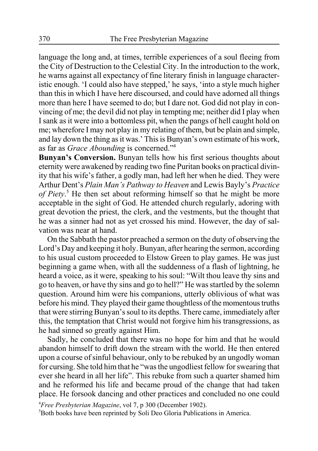language the long and, at times, terrible experiences of a soul fleeing from the City of Destruction to the Celestial City. In the introduction to the work, he warns against all expectancy of fine literary finish in language characteristic enough. 'I could also have stepped,' he says, 'into a style much higher than this in which I have here discoursed, and could have adorned all things more than here I have seemed to do; but I dare not. God did not play in convincing of me; the devil did not play in tempting me; neither did I play when I sank as it were into a bottomless pit, when the pangs of hell caught hold on me; wherefore I may not play in my relating of them, but be plain and simple, and lay down the thing as it was.' This is Bunyan's own estimate of his work, as far as *Grace Abounding* is concerned."4

**Bunyan's Conversion.** Bunyan tells how his first serious thoughts about eternity were awakened by reading two fine Puritan books on practical divinity that his wife's father, a godly man, had left her when he died. They were Arthur Dent's *Plain Man's Pathway to Heaven* and Lewis Bayly's *Practice of Piety*. 5 He then set about reforming himself so that he might be more acceptable in the sight of God. He attended church regularly, adoring with great devotion the priest, the clerk, and the vestments, but the thought that he was a sinner had not as yet crossed his mind. However, the day of salvation was near at hand.

On the Sabbath the pastor preached a sermon on the duty of observing the Lord's Day and keeping it holy. Bunyan, after hearing the sermon, according to his usual custom proceeded to Elstow Green to play games. He was just beginning a game when, with all the suddenness of a flash of lightning, he heard a voice, as it were, speaking to his soul: "Wilt thou leave thy sins and go to heaven, or have thy sins and go to hell?" He was startled by the solemn question. Around him were his companions, utterly oblivious of what was before his mind. They played their game thoughtless of the momentous truths that were stirring Bunyan's soul to its depths. There came, immediately after this, the temptation that Christ would not forgive him his transgressions, as he had sinned so greatly against Him.

Sadly, he concluded that there was no hope for him and that he would abandon himself to drift down the stream with the world. He then entered upon a course of sinful behaviour, only to be rebuked by an ungodly woman for cursing. She told him that he "was the ungodliest fellow for swearing that ever she heard in all her life". This rebuke from such a quarter shamed him and he reformed his life and became proud of the change that had taken place. He forsook dancing and other practices and concluded no one could

4 *Free Presbyterian Magazine*, vol 7, p 300 (December 1902). 5 Both books have been reprinted by Soli Deo Gloria Publications in America.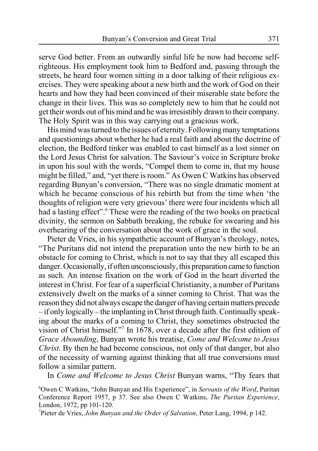serve God better. From an outwardly sinful life he now had become selfrighteous. His employment took him to Bedford and, passing through the streets, he heard four women sitting in a door talking of their religious exercises. They were speaking about a new birth and the work of God on their hearts and how they had been convinced of their miserable state before the change in their lives. This was so completely new to him that he could not get their words out of his mind and he was irresistibly drawn to their company. The Holy Spirit was in this way carrying out a gracious work.

His mind was turned to the issues of eternity. Following many temptations and questionings about whether he had a real faith and about the doctrine of election, the Bedford tinker was enabled to cast himself as a lost sinner on the Lord Jesus Christ for salvation. The Saviour's voice in Scripture broke in upon his soul with the words, "Compel them to come in, that my house might be filled," and, "yet there is room." As Owen C Watkins has observed regarding Bunyan's conversion, "There was no single dramatic moment at which he became conscious of his rebirth but from the time when 'the thoughts of religion were very grievous' there were four incidents which all had a lasting effect".<sup>6</sup> These were the reading of the two books on practical divinity, the sermon on Sabbath breaking, the rebuke for swearing and his overhearing of the conversation about the work of grace in the soul.

Pieter de Vries, in his sympathetic account of Bunyan's theology, notes, "The Puritans did not intend the preparation unto the new birth to be an obstacle for coming to Christ, which is not to say that they all escaped this danger. Occasionally, if often unconsciously, this preparation came to function as such. An intense fixation on the work of God in the heart diverted the interest in Christ. For fear of a superficial Christianity, a number of Puritans extensively dwelt on the marks of a sinner coming to Christ. That was the reason they did not always escape the danger of having certain matters precede – if only logically – the implanting in Christ through faith. Continually speaking about the marks of a coming to Christ, they sometimes obstructed the vision of Christ himself."7 In 1678, over a decade after the first edition of *Grace Abounding*, Bunyan wrote his treatise, *Come and Welcome to Jesus Christ*. By then he had become conscious, not only of that danger, but also of the necessity of warning against thinking that all true conversions must follow a similar pattern.

In *Come and Welcome to Jesus Christ* Bunyan warns, "Thy fears that

6 Owen C Watkins, "John Bunyan and His Experience", in *Servants of the Word*, Puritan Conference Report 1957, p 37. See also Owen C Watkins, *The Puritan Experience*, London, 1972, pp 101-120.

7 Pieter de Vries, *John Bunyan and the Order of Salvation*, Peter Lang, 1994, p 142.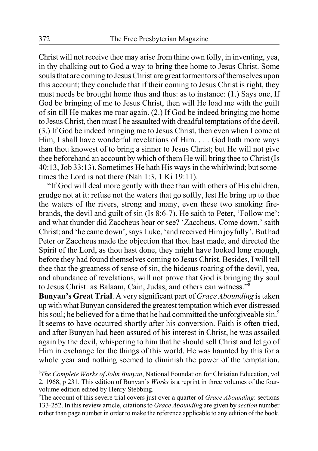Christ will not receive thee may arise from thine own folly, in inventing, yea, in thy chalking out to God a way to bring thee home to Jesus Christ. Some souls that are coming to Jesus Christ are great tormentors of themselves upon this account; they conclude that if their coming to Jesus Christ is right, they must needs be brought home thus and thus: as to instance: (1.) Says one, If God be bringing of me to Jesus Christ, then will He load me with the guilt of sin till He makes me roar again. (2.) If God be indeed bringing me home to Jesus Christ, then must I be assaulted with dreadful temptations of the devil. (3.) If God be indeed bringing me to Jesus Christ, then even when I come at Him, I shall have wonderful revelations of Him. . . . God hath more ways than thou knowest of to bring a sinner to Jesus Christ; but He will not give thee beforehand an account by which of them He will bring thee to Christ (Is 40:13, Job 33:13). Sometimes He hath His ways in the whirlwind; but sometimes the Lord is not there (Nah 1:3, 1 Ki 19:11).

"If God will deal more gently with thee than with others of His children, grudge not at it: refuse not the waters that go softly, lest He bring up to thee the waters of the rivers, strong and many, even these two smoking firebrands, the devil and guilt of sin (Is 8:6-7). He saith to Peter, 'Follow me': and what thunder did Zaccheus hear or see? 'Zaccheus, Come down,' saith Christ; and 'he came down', says Luke, 'and received Him joyfully'. But had Peter or Zaccheus made the objection that thou hast made, and directed the Spirit of the Lord, as thou hast done, they might have looked long enough, before they had found themselves coming to Jesus Christ. Besides, I will tell thee that the greatness of sense of sin, the hideous roaring of the devil, yea, and abundance of revelations, will not prove that God is bringing thy soul to Jesus Christ: as Balaam, Cain, Judas, and others can witness."8

**Bunyan's Great Trial**. A very significant part of *Grace Abounding* is taken up with what Bunyan considered the greatest temptation which ever distressed his soul; he believed for a time that he had committed the unforgiveable sin.<sup>9</sup> It seems to have occurred shortly after his conversion. Faith is often tried, and after Bunyan had been assured of his interest in Christ, he was assailed again by the devil, whispering to him that he should sell Christ and let go of Him in exchange for the things of this world. He was haunted by this for a whole year and nothing seemed to diminish the power of the temptation.

9 The account of this severe trial covers just over a quarter of *Grace Abounding*: sections 133-252. In this review article, citations to *Grace Abounding* are given by *section* number rather than page number in order to make the reference applicable to any edition of the book.

<sup>8</sup> *The Complete Works of John Bunyan*, National Foundation for Christian Education, vol 2, 1968, p 231. This edition of Bunyan's *Works* is a reprint in three volumes of the fourvolume edition edited by Henry Stebbing.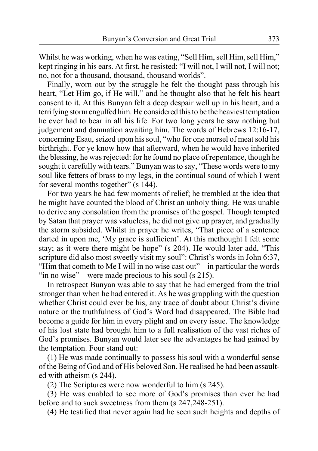Whilst he was working, when he was eating, "Sell Him, sell Him, sell Him," kept ringing in his ears. At first, he resisted: "I will not, I will not, I will not; no, not for a thousand, thousand, thousand worlds".

Finally, worn out by the struggle he felt the thought pass through his heart, "Let Him go, if He will," and he thought also that he felt his heart consent to it. At this Bunyan felt a deep despair well up in his heart, and a terrifying storm engulfed him. He considered this to be the heaviest temptation he ever had to bear in all his life. For two long years he saw nothing but judgement and damnation awaiting him. The words of Hebrews 12:16-17, concerning Esau, seized upon his soul, "who for one morsel of meat sold his birthright. For ye know how that afterward, when he would have inherited the blessing, he was rejected: for he found no place of repentance, though he sought it carefully with tears." Bunyan was to say, "These words were to my soul like fetters of brass to my legs, in the continual sound of which I went for several months together" (s 144).

For two years he had few moments of relief; he trembled at the idea that he might have counted the blood of Christ an unholy thing. He was unable to derive any consolation from the promises of the gospel. Though tempted by Satan that prayer was valueless, he did not give up prayer, and gradually the storm subsided. Whilst in prayer he writes, "That piece of a sentence darted in upon me, 'My grace is sufficient'. At this methought I felt some stay; as it were there might be hope" (s 204). He would later add, "This scripture did also most sweetly visit my soul": Christ's words in John 6:37, "Him that cometh to Me I will in no wise cast out" – in particular the words "in no wise" – were made precious to his soul (s  $215$ ).

In retrospect Bunyan was able to say that he had emerged from the trial stronger than when he had entered it. As he was grappling with the question whether Christ could ever be his, any trace of doubt about Christ's divine nature or the truthfulness of God's Word had disappeared. The Bible had become a guide for him in every plight and on every issue. The knowledge of his lost state had brought him to a full realisation of the vast riches of God's promises. Bunyan would later see the advantages he had gained by the temptation. Four stand out:

(1) He was made continually to possess his soul with a wonderful sense of the Being of God and of His beloved Son. He realised he had been assaulted with atheism (s 244).

(2) The Scriptures were now wonderful to him (s 245).

(3) He was enabled to see more of God's promises than ever he had before and to suck sweetness from them (s 247,248-251).

(4) He testified that never again had he seen such heights and depths of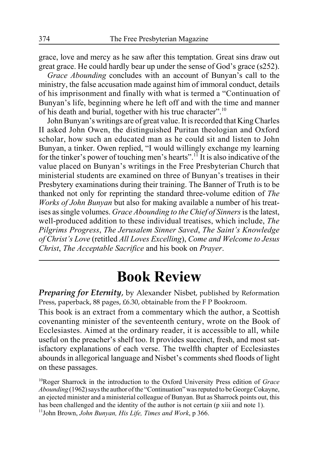grace, love and mercy as he saw after this temptation. Great sins draw out great grace. He could hardly bear up under the sense of God's grace (s252).

*Grace Abounding* concludes with an account of Bunyan's call to the ministry, the false accusation made against him of immoral conduct, details of his imprisonment and finally with what is termed a "Continuation of Bunyan's life, beginning where he left off and with the time and manner of his death and burial, together with his true character".<sup>10</sup>

John Bunyan's writings are of great value. It is recorded that King Charles II asked John Owen, the distinguished Puritan theologian and Oxford scholar, how such an educated man as he could sit and listen to John Bunyan, a tinker. Owen replied, "I would willingly exchange my learning for the tinker's power of touching men's hearts".<sup>11</sup> It is also indicative of the value placed on Bunyan's writings in the Free Presbyterian Church that ministerial students are examined on three of Bunyan's treatises in their Presbytery examinations during their training. The Banner of Truth is to be thanked not only for reprinting the standard three-volume edition of *The Works of John Bunyan* but also for making available a number of his treatises as single volumes. *Grace Abounding to the Chief of Sinners* is the latest, well-produced addition to these individual treatises, which include, *The Pilgrims Progress*, *The Jerusalem Sinner Saved*, *The Saint's Knowledge of Christ's Love* (retitled *All Loves Excelling*), *Come and Welcome to Jesus Christ*, *The Acceptable Sacrifice* and his book on *Prayer*.

# **Book Review**

*Preparing for Eternity*, by Alexander Nisbet, published by Reformation Press, paperback, 88 pages, £6.30, obtainable from the F P Bookroom.

This book is an extract from a commentary which the author, a Scottish covenanting minister of the seventeenth century, wrote on the Book of Ecclesiastes. Aimed at the ordinary reader, it is accessible to all, while useful on the preacher's shelf too. It provides succinct, fresh, and most satisfactory explanations of each verse. The twelfth chapter of Ecclesiastes abounds in allegorical language and Nisbet's comments shed floods of light on these passages.

10Roger Sharrock in the introduction to the Oxford University Press edition of *Grace Abounding* (1962) says the author of the "Continuation" was reputed to be George Cokayne, an ejected minister and a ministerial colleague of Bunyan. But as Sharrock points out, this has been challenged and the identity of the author is not certain (p xiii and note 1). 11John Brown, *John Bunyan, His Life, Times and Work*, p 366.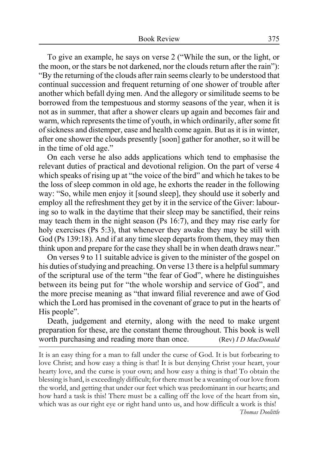To give an example, he says on verse 2 ("While the sun, or the light, or the moon, or the stars be not darkened, nor the clouds return after the rain"): "By the returning of the clouds after rain seems clearly to be understood that continual succession and frequent returning of one shower of trouble after another which befall dying men. And the allegory or similitude seems to be borrowed from the tempestuous and stormy seasons of the year, when it is not as in summer, that after a shower clears up again and becomes fair and warm, which represents the time of youth, in which ordinarily, after some fit of sickness and distemper, ease and health come again. But as it is in winter, after one shower the clouds presently [soon] gather for another, so it will be in the time of old age."

On each verse he also adds applications which tend to emphasise the relevant duties of practical and devotional religion. On the part of verse 4 which speaks of rising up at "the voice of the bird" and which he takes to be the loss of sleep common in old age, he exhorts the reader in the following way: "So, while men enjoy it [sound sleep], they should use it soberly and employ all the refreshment they get by it in the service of the Giver: labouring so to walk in the daytime that their sleep may be sanctified, their reins may teach them in the night season (Ps 16:7), and they may rise early for holy exercises (Ps 5:3), that whenever they awake they may be still with God (Ps 139:18). And if at any time sleep departs from them, they may then think upon and prepare for the case they shall be in when death draws near."

On verses 9 to 11 suitable advice is given to the minister of the gospel on his duties of studying and preaching. On verse 13 there is a helpful summary of the scriptural use of the term "the fear of God", where he distinguishes between its being put for "the whole worship and service of God", and the more precise meaning as "that inward filial reverence and awe of God which the Lord has promised in the covenant of grace to put in the hearts of His people".

Death, judgement and eternity, along with the need to make urgent preparation for these, are the constant theme throughout. This book is well worth purchasing and reading more than once. (Rev) *I D MacDonald*

It is an easy thing for a man to fall under the curse of God. It is but forbearing to love Christ; and how easy a thing is that! It is but denying Christ your heart, your hearty love, and the curse is your own; and how easy a thing is that! To obtain the blessing is hard, is exceedingly difficult; for there must be a weaning of our love from the world, and getting that under our feet which was predominant in our hearts; and how hard a task is this! There must be a calling off the love of the heart from sin, which was as our right eye or right hand unto us, and how difficult a work is this!

*Thomas Doolittle*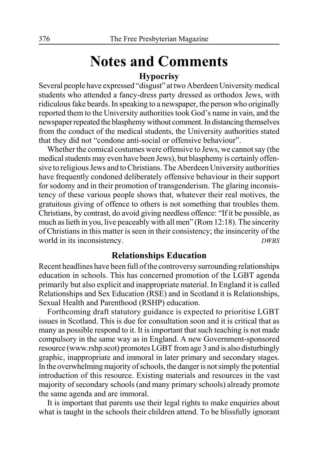## **Notes and Comments Hypocrisy**

Several people have expressed "disgust" at two Aberdeen University medical students who attended a fancy-dress party dressed as orthodox Jews, with ridiculous fake beards. In speaking to a newspaper, the person who originally reported them to the University authorities took God's name in vain, and the newspaper repeated the blasphemy without comment. In distancing themselves from the conduct of the medical students, the University authorities stated that they did not "condone anti-social or offensive behaviour".

Whether the comical costumes were offensive to Jews, we cannot say (the medical students may even have been Jews), but blasphemy is certainly offensive to religious Jews and to Christians. The Aberdeen University authorities have frequently condoned deliberately offensive behaviour in their support for sodomy and in their promotion of transgenderism. The glaring inconsistency of these various people shows that, whatever their real motives, the gratuitous giving of offence to others is not something that troubles them. Christians, by contrast, do avoid giving needless offence: "If it be possible, as much as lieth in you, live peaceably with all men" (Rom 12:18). The sincerity of Christians in this matter is seen in their consistency; the insincerity of the world in its inconsistency. *DWBS*

### **Relationships Education**

Recent headlines have been full of the controversy surrounding relationships education in schools. This has concerned promotion of the LGBT agenda primarily but also explicit and inappropriate material. In England it is called Relationships and Sex Education (RSE) and in Scotland it is Relationships, Sexual Health and Parenthood (RSHP) education.

Forthcoming draft statutory guidance is expected to prioritise LGBT issues in Scotland. This is due for consultation soon and it is critical that as many as possible respond to it. It is important that such teaching is not made compulsory in the same way as in England. A new Government-sponsored resource (www.rshp.scot) promotes LGBT from age 3 and is also disturbingly graphic, inappropriate and immoral in later primary and secondary stages. In the overwhelming majority of schools, the danger is not simply the potential introduction of this resource. Existing materials and resources in the vast majority of secondary schools (and many primary schools) already promote the same agenda and are immoral.

It is important that parents use their legal rights to make enquiries about what is taught in the schools their children attend. To be blissfully ignorant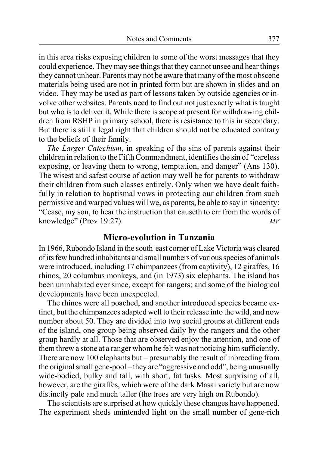in this area risks exposing children to some of the worst messages that they could experience. They may see things that they cannot unsee and hear things they cannot unhear. Parents may not be aware that many of the most obscene materials being used are not in printed form but are shown in slides and on video. They may be used as part of lessons taken by outside agencies or involve other websites. Parents need to find out not just exactly what is taught but who is to deliver it. While there is scope at present for withdrawing children from RSHP in primary school, there is resistance to this in secondary. But there is still a legal right that children should not be educated contrary to the beliefs of their family.

*The Larger Catechism*, in speaking of the sins of parents against their children in relation to the Fifth Commandment, identifies the sin of "careless exposing, or leaving them to wrong, temptation, and danger" (Ans 130). The wisest and safest course of action may well be for parents to withdraw their children from such classes entirely. Only when we have dealt faithfully in relation to baptismal vows in protecting our children from such permissive and warped values will we, as parents, be able to say in sincerity: "Cease, my son, to hear the instruction that causeth to err from the words of knowledge" (Prov 19:27). *MV*

#### **Micro-evolution in Tanzania**

In 1966, Rubondo Island in the south-east corner of Lake Victoria was cleared of its few hundred inhabitants and small numbers of various species of animals were introduced, including 17 chimpanzees (from captivity), 12 giraffes, 16 rhinos, 20 columbus monkeys, and (in 1973) six elephants. The island has been uninhabited ever since, except for rangers; and some of the biological developments have been unexpected.

The rhinos were all poached, and another introduced species became extinct, but the chimpanzees adapted well to their release into the wild, and now number about 50. They are divided into two social groups at different ends of the island, one group being observed daily by the rangers and the other group hardly at all. Those that are observed enjoy the attention, and one of them threw a stone at a ranger whom he felt was not noticing him sufficiently. There are now 100 elephants but – presumably the result of inbreeding from the original small gene-pool – they are "aggressive and odd", being unusually wide-bodied, bulky and tall, with short, fat tusks. Most surprising of all, however, are the giraffes, which were of the dark Masai variety but are now distinctly pale and much taller (the trees are very high on Rubondo).

The scientists are surprised at how quickly these changes have happened. The experiment sheds unintended light on the small number of gene-rich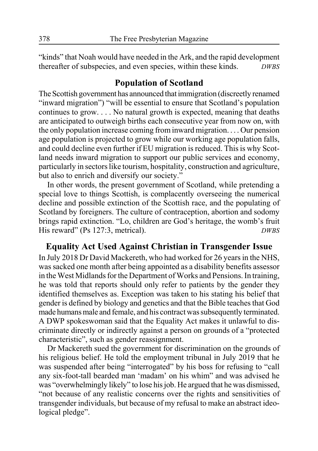"kinds" that Noah would have needed in the Ark, and the rapid development thereafter of subspecies, and even species, within these kinds. *DWBS*

### **Population of Scotland**

The Scottish government has announced that immigration (discreetly renamed "inward migration") "will be essential to ensure that Scotland's population continues to grow. . . . No natural growth is expected, meaning that deaths are anticipated to outweigh births each consecutive year from now on, with the only population increase coming from inward migration. . . . Our pension age population is projected to grow while our working age population falls, and could decline even further if EU migration is reduced. This is why Scotland needs inward migration to support our public services and economy, particularly in sectors like tourism, hospitality, construction and agriculture, but also to enrich and diversify our society."

In other words, the present government of Scotland, while pretending a special love to things Scottish, is complacently overseeing the numerical decline and possible extinction of the Scottish race, and the populating of Scotland by foreigners. The culture of contraception, abortion and sodomy brings rapid extinction. "Lo, children are God's heritage, the womb's fruit His reward" (Ps 127:3, metrical). *DWBS*

### **Equality Act Used Against Christian in Transgender Issue**

In July 2018 Dr David Mackereth, who had worked for 26 years in the NHS, was sacked one month after being appointed as a disability benefits assessor in the West Midlands for the Department of Works and Pensions. In training, he was told that reports should only refer to patients by the gender they identified themselves as. Exception was taken to his stating his belief that gender is defined by biology and genetics and that the Bible teaches that God made humans male and female, and his contract was subsequently terminated. A DWP spokeswoman said that the Equality Act makes it unlawful to discriminate directly or indirectly against a person on grounds of a "protected characteristic", such as gender reassignment.

Dr Mackereth sued the government for discrimination on the grounds of his religious belief. He told the employment tribunal in July 2019 that he was suspended after being "interrogated" by his boss for refusing to "call any six-foot-tall bearded man 'madam' on his whim" and was advised he was "overwhelmingly likely" to lose his job. He argued that he was dismissed, "not because of any realistic concerns over the rights and sensitivities of transgender individuals, but because of my refusal to make an abstract ideological pledge".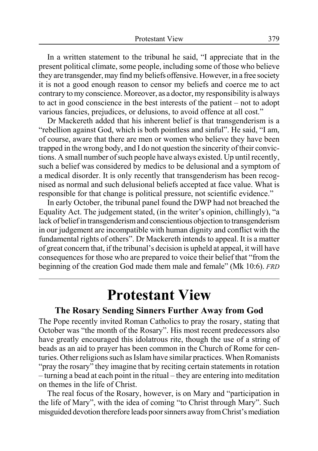In a written statement to the tribunal he said, "I appreciate that in the present political climate, some people, including some of those who believe they are transgender, may find my beliefs offensive. However, in a free society it is not a good enough reason to censor my beliefs and coerce me to act contrary to my conscience. Moreover, as a doctor, my responsibility is always to act in good conscience in the best interests of the patient – not to adopt various fancies, prejudices, or delusions, to avoid offence at all cost."

Dr Mackereth added that his inherent belief is that transgenderism is a "rebellion against God, which is both pointless and sinful". He said, "I am, of course, aware that there are men or women who believe they have been trapped in the wrong body, and I do not question the sincerity of their convictions. A small number of such people have always existed. Up until recently, such a belief was considered by medics to be delusional and a symptom of a medical disorder. It is only recently that transgenderism has been recognised as normal and such delusional beliefs accepted at face value. What is responsible for that change is political pressure, not scientific evidence."

In early October, the tribunal panel found the DWP had not breached the Equality Act. The judgement stated, (in the writer's opinion, chillingly), "a lack of belief in transgenderism and conscientious objection to transgenderism in our judgement are incompatible with human dignity and conflict with the fundamental rights of others". Dr Mackereth intends to appeal. It is a matter of great concern that, if the tribunal's decision is upheld at appeal, it will have consequences for those who are prepared to voice their belief that "from the beginning of the creation God made them male and female" (Mk 10:6). *FRD*

# **Protestant View**

### **The Rosary Sending Sinners Further Away from God**

The Pope recently invited Roman Catholics to pray the rosary, stating that October was "the month of the Rosary". His most recent predecessors also have greatly encouraged this idolatrous rite, though the use of a string of beads as an aid to prayer has been common in the Church of Rome for centuries. Other religions such as Islam have similar practices. When Romanists "pray the rosary" they imagine that by reciting certain statements in rotation – turning a bead at each point in the ritual – they are entering into meditation on themes in the life of Christ.

The real focus of the Rosary, however, is on Mary and "participation in the life of Mary", with the idea of coming "to Christ through Mary". Such misguided devotion therefore leads poor sinners away from Christ's mediation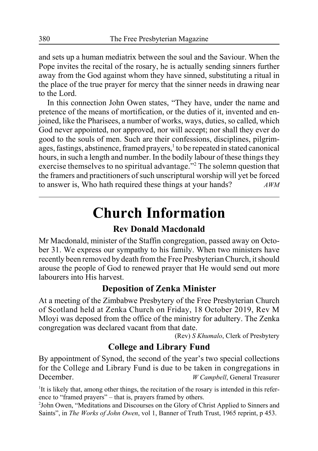and sets up a human mediatrix between the soul and the Saviour. When the Pope invites the recital of the rosary, he is actually sending sinners further away from the God against whom they have sinned, substituting a ritual in the place of the true prayer for mercy that the sinner needs in drawing near to the Lord.

In this connection John Owen states, "They have, under the name and pretence of the means of mortification, or the duties of it, invented and enjoined, like the Pharisees, a number of works, ways, duties, so called, which God never appointed, nor approved, nor will accept; nor shall they ever do good to the souls of men. Such are their confessions, disciplines, pilgrimages, fastings, abstinence, framed prayers,<sup>1</sup> to be repeated in stated canonical hours, in such a length and number. In the bodily labour of these things they exercise themselves to no spiritual advantage."<sup>2</sup> The solemn question that the framers and practitioners of such unscriptural worship will yet be forced to answer is, Who hath required these things at your hands? *AWM*

# **Church Information**

### **Rev Donald Macdonald**

Mr Macdonald, minister of the Staffin congregation, passed away on October 31. We express our sympathy to his family. When two ministers have recently been removed by death from the Free Presbyterian Church, it should arouse the people of God to renewed prayer that He would send out more labourers into His harvest.

#### **Deposition of Zenka Minister**

At a meeting of the Zimbabwe Presbytery of the Free Presbyterian Church of Scotland held at Zenka Church on Friday, 18 October 2019, Rev M Mloyi was deposed from the office of the ministry for adultery. The Zenka congregation was declared vacant from that date.

(Rev) *S Khumalo*, Clerk of Presbytery

### **College and Library Fund**

By appointment of Synod, the second of the year's two special collections for the College and Library Fund is due to be taken in congregations in December. *W Campbell*, General Treasurer

<sup>1</sup>It is likely that, among other things, the recitation of the rosary is intended in this reference to "framed prayers" – that is, prayers framed by others.

<sup>2</sup>John Owen, "Meditations and Discourses on the Glory of Christ Applied to Sinners and Saints", in *The Works of John Owen*, vol 1, Banner of Truth Trust, 1965 reprint, p 453.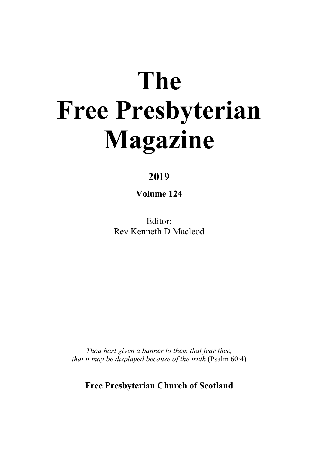# **The Free Presbyterian Magazine**

### **2019**

**Volume 124**

Editor: Rev Kenneth D Macleod

*Thou hast given a banner to them that fear thee, that it may be displayed because of the truth* (Psalm 60:4)

**Free Presbyterian Church of Scotland**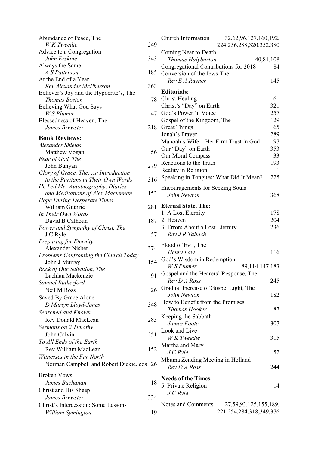| Abundance of Peace, The                         |     |
|-------------------------------------------------|-----|
| W K Tweedie                                     | 249 |
| Advice to a Congregation                        |     |
| John Erskine                                    | 343 |
| Always the Same                                 |     |
| A S Patterson                                   | 185 |
| At the End of a Year<br>Rev Alexander McPherson | 363 |
| Believer's Joy and the Hypocrite's, The         |     |
| Thomas Boston                                   | 78  |
| Believing What God Says                         |     |
| W S Plumer                                      | 47  |
| Blessedness of Heaven, The                      |     |
| James Brewster                                  | 218 |
| <b>Book Reviews:</b>                            |     |
| Alexander Shields                               |     |
| Matthew Vogan                                   | 56  |
| Fear of God, The                                |     |
| John Bunyan                                     | 279 |
| Glory of Grace, The: An Introduction            |     |
| to the Puritans in Their Own Words              | 316 |
| He Led Me: Autobiography, Diaries               |     |
| and Meditations of Alex Maclennan               | 153 |
| Hope During Desperate Times                     |     |
| William Guthrie                                 | 281 |
| In Their Own Words                              |     |
| David B Calhoun                                 | 187 |
| Power and Sympathy of Christ, The               |     |
| J C Ryle                                        | 57  |
| Preparing for Eternity<br>Alexander Nisbet      | 374 |
| Problems Confronting the Church Today           |     |
| John J Murray                                   | 154 |
| Rock of Our Salvation, The                      |     |
| Lachlan Mackenzie                               | 91  |
| Samuel Rutherford                               |     |
| Neil M Ross                                     | 26  |
| Saved By Grace Alone                            |     |
| D Martyn Lloyd-Jones                            | 348 |
| Searched and Known                              |     |
| Rev Donald MacLean                              | 283 |
| Sermons on 2 Timothy                            |     |
| John Calvin                                     | 251 |
| To All Ends of the Earth                        |     |
| Rev William MacLean                             | 152 |
| Witnesses in the Far North                      |     |
| Norman Campbell and Robert Dickie, eds          | 26  |
|                                                 |     |
| <b>Broken Vows</b>                              |     |
| James Buchanan                                  | 18  |
| Christ and His Sheep                            |     |
| James Brewster                                  | 334 |
| Christ's Intercession: Some Lessons             |     |
| William Symington                               | 19  |

| 19             | Church Information<br>32, 62, 96, 127, 160, 192,<br>224, 256, 288, 320, 352, 380 |           |
|----------------|----------------------------------------------------------------------------------|-----------|
|                |                                                                                  |           |
| 43             | Coming Near to Death                                                             |           |
|                | Thomas Halyburton                                                                | 40,81,108 |
| 35             | Congregational Contributions for 2018                                            | 84        |
|                | Conversion of the Jews The                                                       |           |
| 53             | Rev E A Rayner                                                                   | 145       |
|                | <b>Editorials:</b>                                                               |           |
| 78             | Christ Healing                                                                   | 161       |
|                | Christ's "Day" on Earth                                                          | 321       |
| 17             | God's Powerful Voice                                                             | 257       |
|                | Gospel of the Kingdom, The                                                       | 129       |
| 18             | <b>Great Things</b>                                                              | 65        |
|                | Jonah's Prayer                                                                   | 289       |
|                | Manoah's Wife - Her Firm Trust in God                                            | 97        |
|                | Our "Day" on Earth                                                               | 353       |
| 56             |                                                                                  | 33        |
|                | Our Moral Compass                                                                | 193       |
| 79             | Reactions to the Truth                                                           |           |
|                | Reality in Religion                                                              | 1         |
| 16             | Speaking in Tongues: What Did It Mean?                                           | 225       |
|                | <b>Encouragements for Seeking Souls</b>                                          |           |
| 53             | John Newton                                                                      | 368       |
|                |                                                                                  |           |
| 31             | <b>Eternal State, The:</b>                                                       |           |
|                | 1. A Lost Eternity                                                               | 178       |
| 37             | 2. Heaven                                                                        | 204       |
|                | 3. Errors About a Lost Eternity                                                  | 236       |
| 57             | Rev J R Tallach                                                                  |           |
|                | Flood of Evil, The                                                               |           |
| 74             | Henry Law                                                                        | 116       |
|                | God's Wisdom in Redemption                                                       |           |
| 54             | W S Plumer<br>89,114,147,183                                                     |           |
|                | Gospel and the Hearers' Response, The                                            |           |
| 1              | Rev D A Ross                                                                     | 245       |
|                |                                                                                  |           |
| 26             | Gradual Increase of Gospel Light, The                                            | 182       |
|                | John Newton                                                                      |           |
| $^{18}$        | How to Benefit from the Promises                                                 |           |
|                | Thomas Hooker                                                                    | 87        |
| 33             | Keeping the Sabbath                                                              |           |
|                | James Foote                                                                      | 307       |
| 51             | Look and Live                                                                    |           |
|                | W K Tweedie                                                                      | 315       |
| 52             | Martha and Mary                                                                  |           |
|                | J C Ryle                                                                         | 52        |
|                | Mbuma Zending Meeting in Holland                                                 |           |
| 26             | Rev D A Ross                                                                     | 244       |
|                |                                                                                  |           |
| 18             | <b>Needs of the Times:</b>                                                       |           |
|                | 5. Private Religion                                                              | 14        |
| $\frac{34}{4}$ | JCRyle                                                                           |           |
|                | Notes and Comments<br>27, 59, 93, 125, 155, 189,                                 |           |
| 19             | 221, 254, 284, 318, 349, 376                                                     |           |
|                |                                                                                  |           |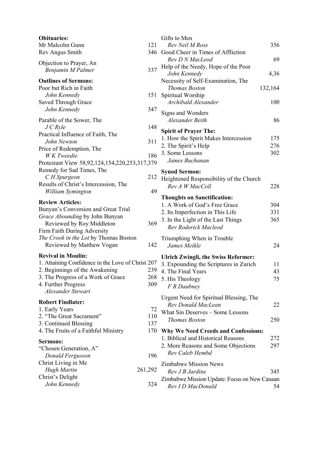| <b>Obituaries:</b>                                |         | Gifts             |
|---------------------------------------------------|---------|-------------------|
| Mr Malcolm Gunn                                   | 121     | Rε                |
| Rev Angus Smith                                   | 346     | Good              |
| Objection to Prayer, An                           |         | Re                |
| Benjamin M Palmer                                 | 337     | Help              |
|                                                   |         | Jo                |
| <b>Outlines of Sermons:</b>                       |         | Nece              |
| Poor but Rich in Faith                            |         | Τh                |
| John Kennedy                                      | 151     | Spiri             |
| Saved Through Grace                               |         | Ar                |
| John Kennedy                                      | 347     | Sign:             |
| Parable of the Sower, The                         |         | Al                |
| $J$ C Ryle                                        | 148     |                   |
| Practical Influence of Faith, The                 |         | Spiri             |
| John Newton                                       | 311     | 1. H <sub>0</sub> |
| Price of Redemption, The                          |         | 2. Th             |
| W K Tweedie                                       | 186     | 3. So             |
| Protestant View 58,92,124,154,220,253,317,379     |         | Ja                |
| Remedy for Sad Times, The                         |         | Syno              |
| C H Spurgeon                                      | 212     | Heig              |
| Results of Christ's Intercession, The             |         | Re                |
| William Symington                                 | 49      |                   |
| <b>Review Articles:</b>                           |         | Thou              |
| Bunyan's Conversion and Great Trial               |         | 1. A<br>$2.$ Its  |
| Grace Abounding by John Bunyan                    |         | 3. In             |
| Reviewed by Roy Middleton                         | 369     |                   |
| Firm Faith During Adversity                       |         | Rε                |
| The Crook in the Lot by Thomas Boston             |         | Triur             |
| Reviewed by Matthew Vogan                         | 142     | Ja                |
| <b>Revival in Moulin:</b>                         |         |                   |
| 1. Attaining Confidence in the Love of Christ 207 |         | Ulrio             |
| 2. Beginnings of the Awakening                    | 239     | 3.Ex              |
| 3. The Progress of a Work of Grace                | 268     | 4. Th<br>5. Hi    |
| 4. Further Progress                               | 309     |                   |
| Alexander Stewart                                 |         | $\sqrt{F}$ .      |
|                                                   |         | Urge              |
| <b>Robert Findlater:</b>                          |         | Re                |
| 1. Early Years                                    | 72      | Wha               |
| 2. "The Great Sacrament"                          | 110     | Τk                |
| 3. Continued Blessing                             | 137     |                   |
| 4. The Fruits of a Faithful Ministry              | 170     | Why               |
| Sermons:                                          |         | 1. Bi             |
| "Chosen Generation, A"                            |         | 2. M              |
| Donald Fergusson                                  | 196     | Re                |
| Christ Living in Me                               |         | Zimb              |
| Hugh Martin                                       | 261,292 | Re                |
| Christ's Delight                                  |         | Zimb              |
| John Kennedy                                      | 324     | Re                |
|                                                   |         |                   |

|                          | Gifts to Men                                                              |          |
|--------------------------|---------------------------------------------------------------------------|----------|
|                          | Rev Neil M Ross                                                           | 356      |
| ś                        | Good Cheer in Times of Affliction                                         |          |
|                          | Rev D N MacLeod<br>Help of the Needy, Hope of the Poor                    | 69       |
| 7                        | John Kennedv                                                              | 4,36     |
|                          | Necessity of Self-Examination, The<br><b>Thomas Boston</b>                |          |
| l                        | Spiritual Worship                                                         | 132,164  |
|                          | Archibald Alexander                                                       | 100      |
| 7                        | Signs and Wonders                                                         |          |
| 3                        | Alexander Beith                                                           | 86       |
|                          | <b>Spirit of Prayer The:</b><br>1. How the Spirit Makes Intercession      | 175      |
| l                        | 2. The Spirit's Help                                                      | 276      |
| 5                        | 3. Some Lessons                                                           | 302      |
| €                        | James Buchanan                                                            |          |
|                          | <b>Synod Sermon:</b>                                                      |          |
| $\overline{\phantom{a}}$ | Heightened Responsibility of the Church<br>Rev A W MacColl                | 228      |
| ∢                        |                                                                           |          |
|                          | <b>Thoughts on Sanctification:</b><br>1. A Work of God's Free Grace       | 304      |
|                          | 2. Its Imperfection in This Life                                          | 331      |
|                          | 3. In the Light of the Last Things                                        | 365      |
| ∢                        | Rev Roderick Macleod                                                      |          |
|                          | Triumphing When in Trouble                                                |          |
| $\overline{\mathbf{r}}$  | James Meikle                                                              | 24       |
|                          | Ulrich Zwingli, the Swiss Reformer:                                       |          |
| 7<br>$\mathfrak z$       | 3. Expounding the Scriptures in Zurich<br>4. The Final Years              | 11<br>43 |
| 3                        | 5. His Theology                                                           | 75       |
| )                        | F R Daubney                                                               |          |
|                          | Urgent Need for Spiritual Blessing, The                                   |          |
| $\overline{\phantom{a}}$ | Rev Donald MacLean                                                        | 22       |
| $\overline{\phantom{0}}$ | What Sin Deserves - Some Lessons                                          |          |
| 7                        | <b>Thomas Boston</b>                                                      | 250      |
| $\mathbf{)}$             | Why We Need Creeds and Confessions:                                       |          |
|                          | 1. Biblical and Historical Reasons<br>2. More Reasons and Some Objections | 272      |
|                          | Rev Caleb Hembd                                                           | 297      |
| 5                        | Zimbabwe Mission News                                                     |          |
| $\overline{\phantom{a}}$ | Rev J B Jardine                                                           | 345      |
|                          | Zimbabwe Mission Update: Focus on New Canaan                              |          |
| į                        | Rev I D MacDonald                                                         | 54       |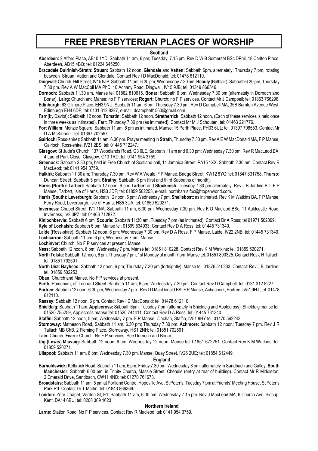### **FREE PRESBYTERIAN PLACES OF WORSHIP**

#### **Scotland**

**Aberdeen:** 2 Alford Place, AB10 1YD, Sabbath 11 am, 6 pm; Tuesday, 7.15 pm. Rev D W B Somerset BSc DPhil, 18 Carlton Place, Aberdeen, AB15 4BQ; tel: 01224 645250.

**Bracadale Duirinish-Strath: Struan:** Sabbath 12 noon. **Glendale** and **Vatten:** Sabbath 6pm, alternately. Thursday 7 pm, rotating between Struan, Vatten and Glendale. Contact Rev I D MacDonald; tel: 01478 612110.

**Dingwall:** Church, Hill Street, IV15 9JP: Sabbath 11 am, 6.30 pm; Wednesday 7.30 pm. **Beauly** (Balblair): Sabbath 6.30 pm, Thursday 7.30 pm. Rev A W MacColl MA PhD, 10 Achany Road, Dingwall, IV15 9JB; tel: 01349 866546.

**Dornoch:** Sabbath 11.30 am. Manse tel: 01862 810615. **Bonar:** Sabbath 6 pm. Wednesday 7.30 pm (alternately in Dornoch and Bonar). **Lairg:** Church and Manse; no F P services; **Rogart:** Church; no F P services. Contact Mr J Campbell; tel: 01863 766296.

**Edinburgh:** 63 Gilmore Place, EH3 9NU, Sabbath 11 am, 6 pm; Thursday 7.30 pm. Rev D Campbell MA, 35B Barnton Avenue West, Edinburgh EH4 6DF; tel: 0131 312 8227, e-mail: dcampbell1560@gmail.com.

- **Farr** (by Daviot)**:** Sabbath 12 noon. **Tomatin:** Sabbath 12 noon. **Stratherrick:** Sabbath 12 noon. (Each of these services is held once in three weeks as intimated). **Farr:** Thursday 7.30 pm (as intimated). Contact Mr M J Schouten; tel: 01463 221776.
- **Fort William:** Monzie Square, Sabbath 11 am, 6 pm as intimated. Manse: 15 Perth Place, PH33 6UL; tel: 01397 708553. Contact Mr D A McKinnon. Tel: 01397 702597.

**Gairloch** (Ross-shire): Sabbath 11 am, 6.30 pm. Prayer meeting in **Strath**, Thursday 7.30 pm. Rev A E W MacDonald MA, F P Manse, Gairloch, Ross-shire, IV21 2BS; tel: 01445 712247.

**Glasgow:** St Jude's Church, 137 Woodlands Road, G3 6LE. Sabbath 11 am and 6.30 pm; Wednesday 7.30 pm. Rev R MacLeod BA, 4 Laurel Park Close, Glasgow, G13 1RD; tel: 0141 954 3759.

- **Greenock:** Sabbath 2.30 pm, held in Free Church of Scotland hall, 14 Jamaica Street, PA15 1XX. Sabbath 2.30 pm. Contact Rev R MacLeod; tel: 0141 954 3759.
- **Halkirk:** Sabbath 11.30 am; Thursday 7.30 pm. Rev W A Weale, F P Manse, Bridge Street, KW12 6YG; tel: 01847 831758. **Thurso:** Duncan Street; Sabbath 5 pm; **Strathy:** Sabbath: 6 pm (first and third Sabbaths of month).
- **Harris (North): Tarbert:** Sabbath 12 noon, 6 pm. **Tarbert** and **Stockinish:** Tuesday 7.30 pm alternately. Rev J B Jardine BD, F P Manse, Tarbert, Isle of Harris, HS3 3DF; tel: 01859 502253, e-mail: northharris.fpc@btopenworld.com.
- **Harris (South): Leverburgh:** Sabbath 12 noon, 6 pm; Wednesday 7 pm. **Sheilebost:** as intimated. Rev K M Watkins BA, F P Manse, Ferry Road, Leverburgh, Isle of Harris, HS5 3UA; tel: 01859 520271.
- **Inverness:** Chapel Street, IV1 1NA; Sabbath 11 am, 6.30 pm; Wednesday 7.30 pm. Rev K D Macleod BSc, 11 Auldcastle Road, Inverness, IV2 3PZ; tel: 01463 712872.

**Kinlochbervie:** Sabbath 6 pm; **Scourie:** Sabbath 11:30 am, Tuesday 7 pm (as intimated). Contact Dr A Ross; tel 01971 502099.

**Kyle of Lochalsh:** Sabbath 6 pm. Manse tel: 01599 534933. Contact Rev D A Ross; tel: 01445 731340.

**Laide** (Ross-shire): Sabbath 12 noon, 6 pm; Wednesday 7.30 pm. Rev D A Ross. F P Manse, Laide, IV22 2NB; tel: 01445 731340. **Lochcarron:** Sabbath 11 am, 6 pm; Wednesday 7 pm. Manse.

**Lochinver:** Church. No F P services at present. Manse.

**Ness:** Sabbath 12 noon, 6 pm; Wednesday 7 pm. Manse tel: 01851 810228. Contact Rev K M Watkins; tel: 01859 520271.

- **North Tolsta:** Sabbath 12 noon, 6 pm; Thursday 7 pm; 1st Monday of month 7 pm. Manse tel: 01851 890325. Contact Rev J R Tallach; tel: 01851 702501.
- **North Uist: Bayhead:** Sabbath 12 noon, 6 pm; Thursday 7.30 pm (fortnightly). Manse tel: 01876 510233. Contact: Rev J B Jardine; tel: 01859 502253.

**Oban:** Church and Manse. No F P services at present.

**Perth:** Pomarium, off Leonard Street. Sabbath 11 am, 6 pm; Wednesday 7.30 pm. Contact Rev D Campbell; tel: 0131 312 8227.

**Portree:** Sabbath 12 noon, 6.30 pm; Wednesday 7 pm.. Rev I D MacDonald BA, F P Manse, Achachork, Portree, IV51 9HT; tel: 01478 612110.

**Raasay:** Sabbath 12 noon, 6 pm. Contact Rev I D MacDonald; tel: 01478 612110.

**Shieldaig:** Sabbath 11 am; **Applecross:** Sabbath 6pm. Tuesday 7 pm (alternately in Shieldaig and Applecross). Shieldaig manse tel: 01520 755259, Applecross manse tel: 01520 744411. Contact Rev D A Ross; tel: 01445 731340.

**Staffin:** Sabbath 12 noon, 5 pm; Wednesday 7 pm. F P Manse, Clachan, Staffin, IV51 9HY tel: 01470 562243.

**Stornoway:** Matheson Road, Sabbath 11 am, 6.30 pm; Thursday 7.30 pm. **Achmore:** Sabbath 12 noon; Tuesday 7 pm. Rev J R Tallach MB ChB, 2 Fleming Place, Stornoway, HS1 2NH; tel: 01851 702501.

**Tain:** Church. **Fearn:** Church. No F P services. See Dornoch and Bonar.

**Uig (Lewis) Miavaig:** Sabbath 12 noon, 6 pm; Wednesday 12 noon. Manse tel: 01851 672251. Contact Rev K M Watkins; tel: 01859 520271.

**Ullapool:** Sabbath 11 am, 6 pm; Wednesday 7.30 pm. Manse: Quay Street, IV26 2UE; tel: 01854 612449.

#### **England**

**Barnoldswick:** Kelbrook Road, Sabbath 11 am, 6 pm; Friday 7.30 pm; Wednesday 8 pm, alternately in Sandbach and Gatley. **South Manchester:** Sabbath 6.00 pm, in Trinity Church, Massie Street, Cheadle (entry at rear of building). Contact Mr R Middleton, 2 Emerald Drive, Sandbach, CW11 4ND; tel: 01270 761673.

**Broadstairs:** Sabbath 11 am, 5 pm at Portland Centre, Hopeville Ave, St Peter's; Tuesday 7 pm at Friends' Meeting House, St Peter's Park Rd. Contact Dr T Martin; tel: 01843 866369**.**

**London:** Zoar Chapel, Varden St, E1. Sabbath 11 am, 6.30 pm; Wednesday 7.15 pm. Rev J MacLeod MA, 6 Church Ave, Sidcup, Kent, DA14 6BU; tel: 0208 309 1623.

#### **Northern Ireland**

**Larne:** Station Road. No F P services. Contact Rev R Macleod; tel: 0141 954 3759.